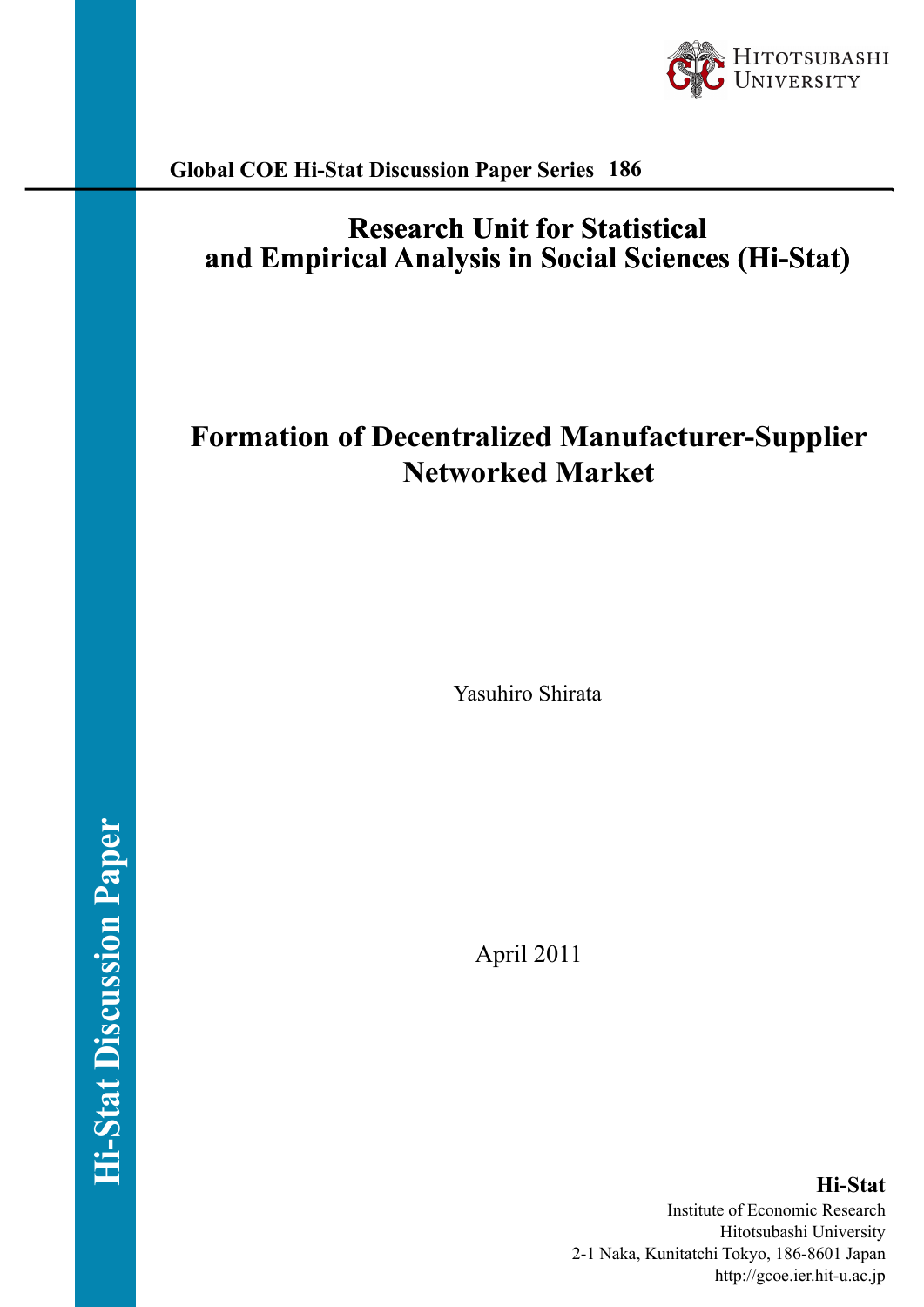

**Global COE Hi-Stat Discussion Paper Series 186**

## **Research Unit for Statistical and Empirical Analysis in Social Sciences (Hi-Stat)**

# **Formation of Decentralized Manufacturer-Supplier Networked Market**

Yasuhiro Shirata

April 2011

**Hi-Stat** Institute of Economic Research Hitotsubashi University 2-1 Naka, Kunitatchi Tokyo, 186-8601 Japan http://gcoe.ier.hit-u.ac.jp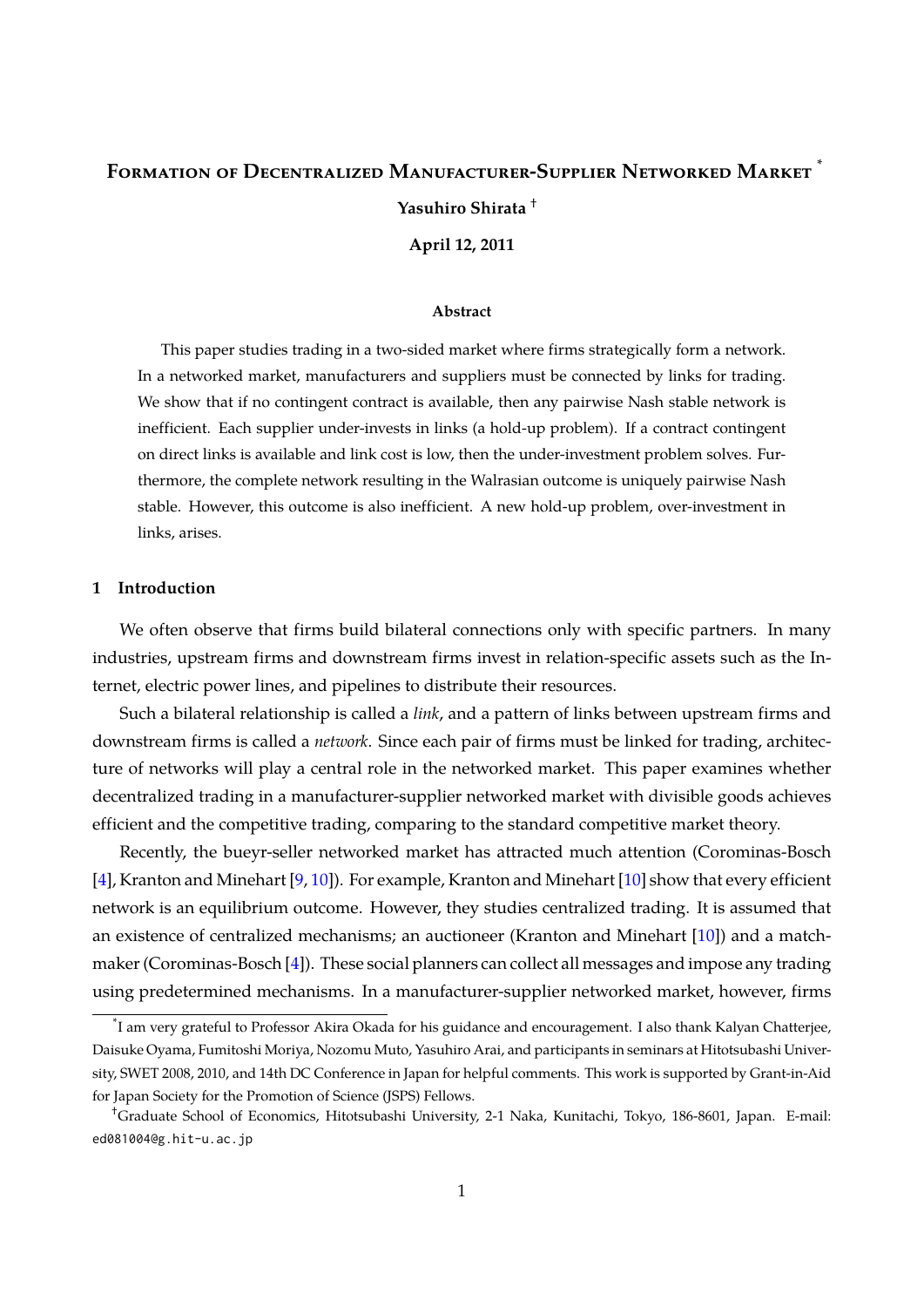## <span id="page-1-0"></span>FORMATION OF DECENTRALIZED MANUFACTURER-SUPPLIER NETWORKED MARKET **Yasuhiro Shirata** †

**April 12, 2011**

#### **Abstract**

This paper studies trading in a two-sided market where firms strategically form a network. In a networked market, manufacturers and suppliers must be connected by links for trading. We show that if no contingent contract is available, then any pairwise Nash stable network is inefficient. Each supplier under-invests in links (a hold-up problem). If a contract contingent on direct links is available and link cost is low, then the under-investment problem solves. Furthermore, the complete network resulting in the Walrasian outcome is uniquely pairwise Nash stable. However, this outcome is also inefficient. A new hold-up problem, over-investment in links, arises.

#### **1 Introduction**

We often observe that firms build bilateral connections only with specific partners. In many industries, upstream firms and downstream firms invest in relation-specific assets such as the Internet, electric power lines, and pipelines to distribute their resources.

Such a bilateral relationship is called a *link*, and a pattern of links between upstream firms and downstream firms is called a *network*. Since each pair of firms must be linked for trading, architecture of networks will play a central role in the networked market. This paper examines whether decentralized trading in a manufacturer-supplier networked market with divisible goods achieves efficient and the competitive trading, comparing to the standard competitive market theory.

Recently, the bueyr-seller networked market has attracted much attention (Corominas-Bosch [\[4\]](#page-16-0), Kranton and Minehart [\[9,](#page-16-1) [10\]](#page-16-2)). For example, Kranton and Minehart [\[10\]](#page-16-2) show that every efficient network is an equilibrium outcome. However, they studies centralized trading. It is assumed that an existence of centralized mechanisms; an auctioneer (Kranton and Minehart [\[10\]](#page-16-2)) and a matchmaker (Corominas-Bosch [\[4\]](#page-16-0)). These social planners can collect all messages and impose any trading using predetermined mechanisms. In a manufacturer-supplier networked market, however, firms

<sup>\*</sup> I am very grateful to Professor Akira Okada for his guidance and encouragement. I also thank Kalyan Chatterjee, Daisuke Oyama, Fumitoshi Moriya, Nozomu Muto, Yasuhiro Arai, and participants in seminars at Hitotsubashi University, SWET 2008, 2010, and 14th DC Conference in Japan for helpful comments. This work is supported by Grant-in-Aid for Japan Society for the Promotion of Science (JSPS) Fellows.

<sup>†</sup>Graduate School of Economics, Hitotsubashi University, 2-1 Naka, Kunitachi, Tokyo, 186-8601, Japan. E-mail: ed081004@g.hit-u.ac.jp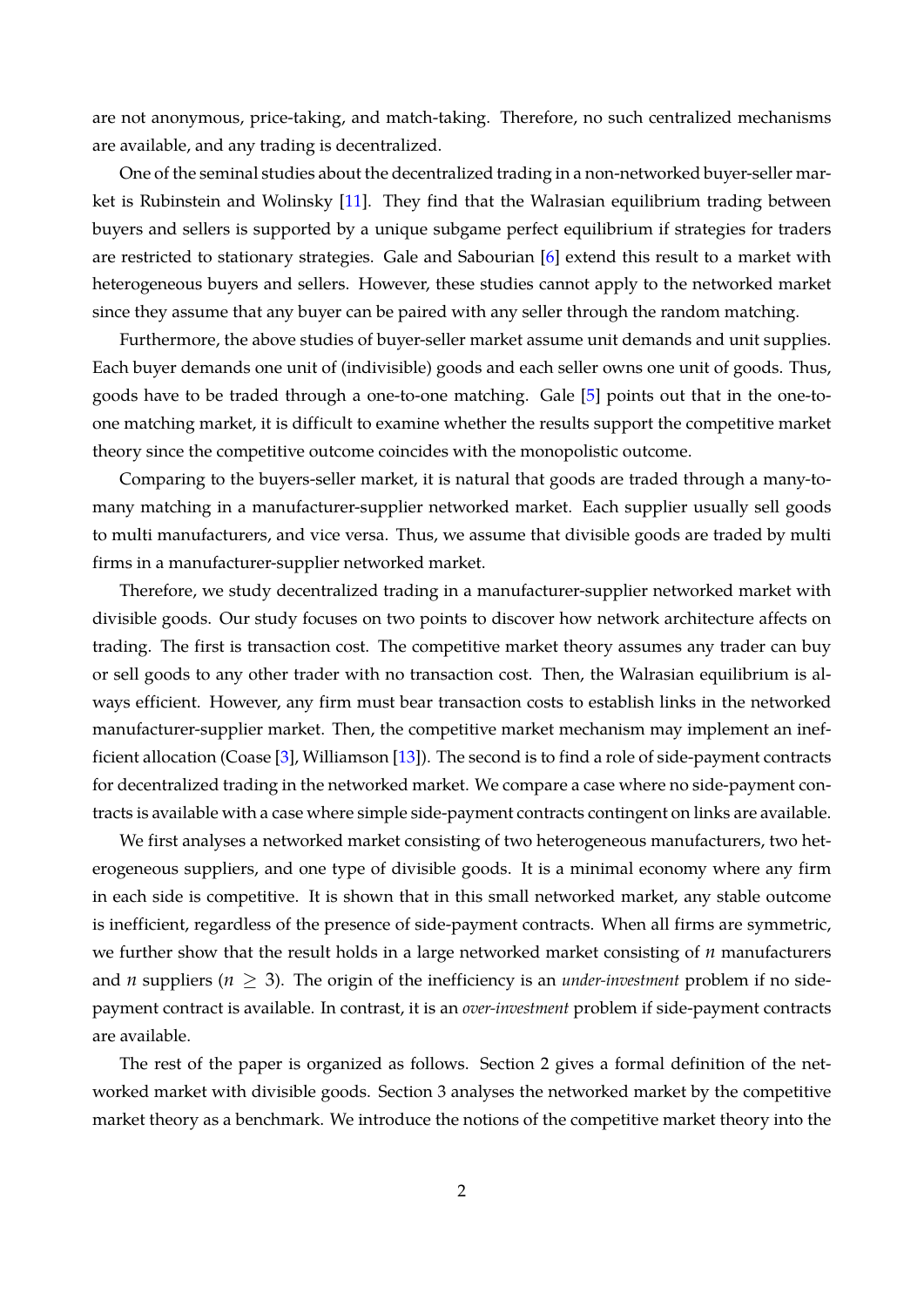<span id="page-2-0"></span>are not anonymous, price-taking, and match-taking. Therefore, no such centralized mechanisms are available, and any trading is decentralized.

One of the seminal studies about the decentralized trading in a non-networked buyer-seller market is Rubinstein and Wolinsky [\[11\]](#page-16-3). They find that the Walrasian equilibrium trading between buyers and sellers is supported by a unique subgame perfect equilibrium if strategies for traders are restricted to stationary strategies. Gale and Sabourian [\[6\]](#page-16-4) extend this result to a market with heterogeneous buyers and sellers. However, these studies cannot apply to the networked market since they assume that any buyer can be paired with any seller through the random matching.

Furthermore, the above studies of buyer-seller market assume unit demands and unit supplies. Each buyer demands one unit of (indivisible) goods and each seller owns one unit of goods. Thus, goods have to be traded through a one-to-one matching. Gale [\[5\]](#page-16-5) points out that in the one-toone matching market, it is difficult to examine whether the results support the competitive market theory since the competitive outcome coincides with the monopolistic outcome.

Comparing to the buyers-seller market, it is natural that goods are traded through a many-tomany matching in a manufacturer-supplier networked market. Each supplier usually sell goods to multi manufacturers, and vice versa. Thus, we assume that divisible goods are traded by multi firms in a manufacturer-supplier networked market.

Therefore, we study decentralized trading in a manufacturer-supplier networked market with divisible goods. Our study focuses on two points to discover how network architecture affects on trading. The first is transaction cost. The competitive market theory assumes any trader can buy or sell goods to any other trader with no transaction cost. Then, the Walrasian equilibrium is always efficient. However, any firm must bear transaction costs to establish links in the networked manufacturer-supplier market. Then, the competitive market mechanism may implement an inefficient allocation (Coase [\[3\]](#page-16-6), Williamson [\[13\]](#page-16-7)). The second is to find a role of side-payment contracts for decentralized trading in the networked market. We compare a case where no side-payment contracts is available with a case where simple side-payment contracts contingent on links are available.

We first analyses a networked market consisting of two heterogeneous manufacturers, two heterogeneous suppliers, and one type of divisible goods. It is a minimal economy where any firm in each side is competitive. It is shown that in this small networked market, any stable outcome is inefficient, regardless of the presence of side-payment contracts. When all firms are symmetric, we further show that the result holds in a large networked market consisting of *n* manufacturers and *n* suppliers ( $n \geq 3$ ). The origin of the inefficiency is an *under-investment* problem if no sidepayment contract is available. In contrast, it is an *over-investment* problem if side-payment contracts are available.

The rest of the paper is organized as follows. Section 2 gives a formal definition of the networked market with divisible goods. Section 3 analyses the networked market by the competitive market theory as a benchmark. We introduce the notions of the competitive market theory into the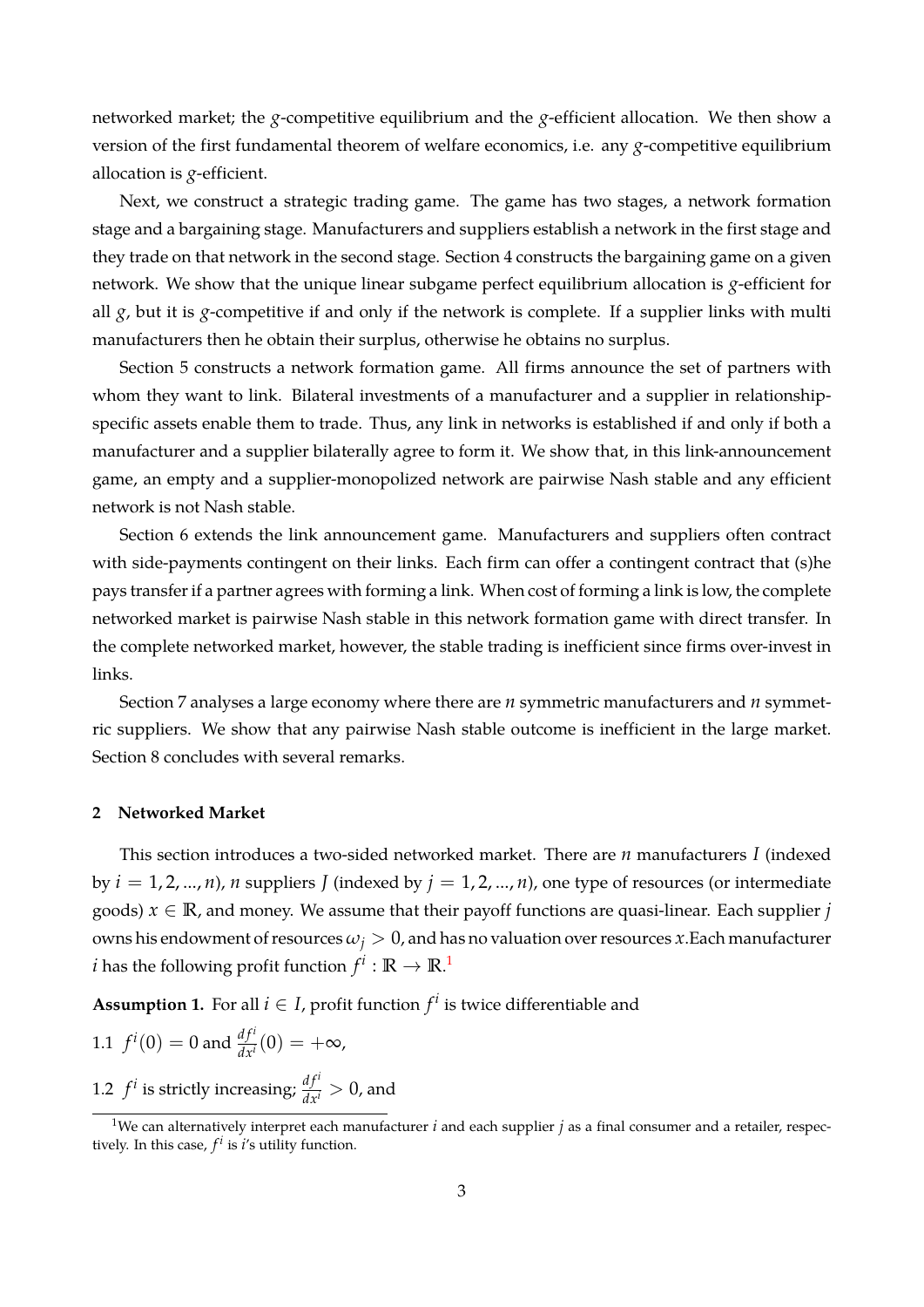networked market; the *g*-competitive equilibrium and the *g*-efficient allocation. We then show a version of the first fundamental theorem of welfare economics, i.e. any *g*-competitive equilibrium allocation is *g*-efficient.

Next, we construct a strategic trading game. The game has two stages, a network formation stage and a bargaining stage. Manufacturers and suppliers establish a network in the first stage and they trade on that network in the second stage. Section 4 constructs the bargaining game on a given network. We show that the unique linear subgame perfect equilibrium allocation is *g*-efficient for all *g*, but it is *g*-competitive if and only if the network is complete. If a supplier links with multi manufacturers then he obtain their surplus, otherwise he obtains no surplus.

Section 5 constructs a network formation game. All firms announce the set of partners with whom they want to link. Bilateral investments of a manufacturer and a supplier in relationshipspecific assets enable them to trade. Thus, any link in networks is established if and only if both a manufacturer and a supplier bilaterally agree to form it. We show that, in this link-announcement game, an empty and a supplier-monopolized network are pairwise Nash stable and any efficient network is not Nash stable.

Section 6 extends the link announcement game. Manufacturers and suppliers often contract with side-payments contingent on their links. Each firm can offer a contingent contract that (s)he pays transfer if a partner agrees with forming a link. When cost of forming a link is low, the complete networked market is pairwise Nash stable in this network formation game with direct transfer. In the complete networked market, however, the stable trading is inefficient since firms over-invest in links.

Section 7 analyses a large economy where there are *n* symmetric manufacturers and *n* symmetric suppliers. We show that any pairwise Nash stable outcome is inefficient in the large market. Section 8 concludes with several remarks.

### **2 Networked Market**

This section introduces a two-sided networked market. There are *n* manufacturers *I* (indexed by  $i = 1, 2, ..., n$ , *n* suppliers *J* (indexed by  $j = 1, 2, ..., n$ ), one type of resources (or intermediate goods)  $x \in \mathbb{R}$ , and money. We assume that their payoff functions are quasi-linear. Each supplier *j* owns his endowment of resources  $\omega_j > 0$ , and has no valuation over resources *x*. Each manufacturer  $i$  has the following profit function  $f^i: \mathbb{R} \to \mathbb{R}$ .<sup>1</sup>

**Assumption 1.** For all  $i \in I$ , profit function  $f^i$  is twice differentiable and

1.1 
$$
f^i(0) = 0
$$
 and  $\frac{df^i}{dx^i}(0) = +\infty$ ,  
1.2  $f^i$  is strictly increasing;  $\frac{df^i}{dx^i} > 0$ , and

<sup>&</sup>lt;sup>1</sup>We can alternatively interpret each manufacturer  $i$  and each supplier  $j$  as a final consumer and a retailer, respectively. In this case*,*  $f^i$  is  $i$ 's utility function.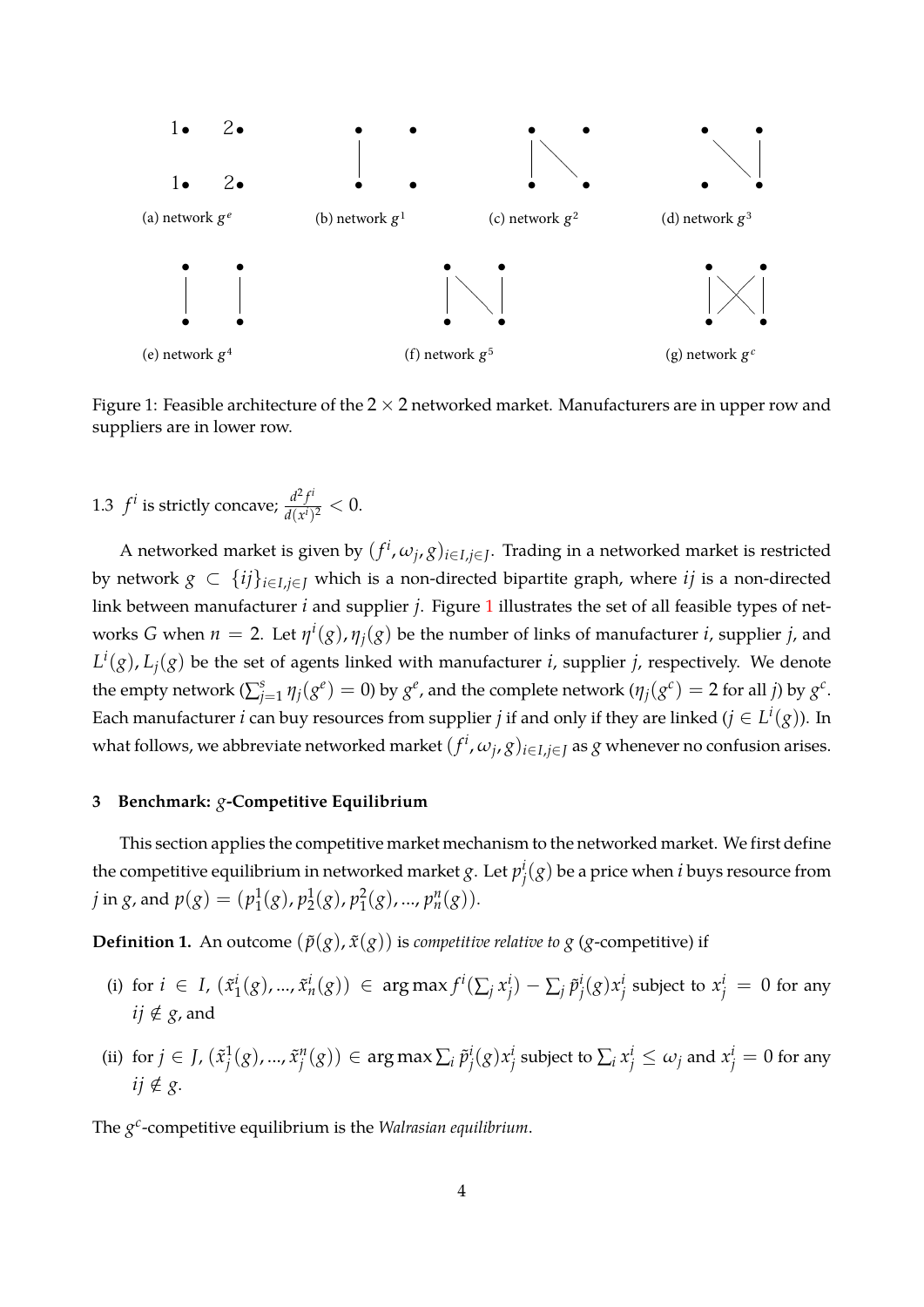

<span id="page-4-0"></span>Figure 1: Feasible architecture of the 2 *×* 2 networked market. Manufacturers are in upper row and suppliers are in lower row.

1.3  $f^i$  is strictly concave;  $\frac{d^2 f^i}{d(x^i)}$  $\frac{d^2f}{d(x^i)^2} < 0.$ 

A networked market is given by  $(f^i,\omega_j,g)_{i\in I,j\in J}.$  Trading in a networked market is restricted by network  $g \subset \{ij\}_{i \in I, i \in I}$  which is a non-directed bipartite graph, where *ij* is a non-directed link between manufacturer *i* and supplier *j*. Figure [1](#page-4-0) illustrates the set of all feasible types of networks *G* when  $n = 2$ . Let  $\eta^i(g)$ ,  $\eta_j(g)$  be the number of links of manufacturer *i*, supplier *j*, and  $L^i(g)$ ,  $L_j(g)$  be the set of agents linked with manufacturer *i*, supplier *j*, respectively. We denote the empty network ( $\sum_{j=1}^s \eta_j(g^e) = 0$ ) by  $g^e$ , and the complete network ( $\eta_j(g^c) = 2$  for all *j*) by  $g^c$ . Each manufacturer *i* can buy resources from supplier *j* if and only if they are linked ( $j \in L^i(g)$ ). In what follows, we abbreviate networked market  $(f^i,\omega_j,g)_{i\in I,j\in J}$  as  $g$  whenever no confusion arises.

### **3 Benchmark:** *g***-Competitive Equilibrium**

This section applies the competitive market mechanism to the networked market. We first define the competitive equilibrium in networked market  $g$ . Let  $p_i^j$  $j^i(g)$  be a price when *i* buys resource from  $j$  in  $g$ , and  $p(g) = (p_1^1)$  $\frac{1}{1}(g)$ ,  $p_2^1$  $\frac{1}{2}(g)$ ,  $p_1^2$  $_{1}^{2}(g)$ , ...,  $p_{n}^{n}(g)$ ).

**Definition 1.** An outcome  $(\tilde{p}(g), \tilde{x}(g))$  is *competitive relative to g* (*g*-competitive) if

- (i) for  $i \in I$ ,  $(\tilde{x}_1^i)$  $f^i_j(g),..., \tilde{x}^i_n(g)) \ \in \ \argmax f^i(\sum_j x^i_j)$  $j^i_j$ ) − ∑ $_j$   $\tilde{p}_j^i$ *j* (*g*)*x i*  $\frac{i}{j}$  subject to  $x_j^i = 0$  for any *ij* ∉ *g*, and
- (ii) for  $j \in J$ ,  $(\tilde{x}_i^1)$  $\tilde{X}_j^1(g)$ , ...,  $\tilde{x}_j^n$  $j^{\mathit{n}}(g)) \in \argmax \sum_{i} \tilde{p}_{j}^{i}$ *j* (*g*)*x i*  $\frac{i}{j}$  subject to  $\sum_i x^i_j \leq \omega_j$  and  $x^i_j = 0$  for any *ij* ∉ *g*.

The *g c* -competitive equilibrium is the *Walrasian equilibrium*.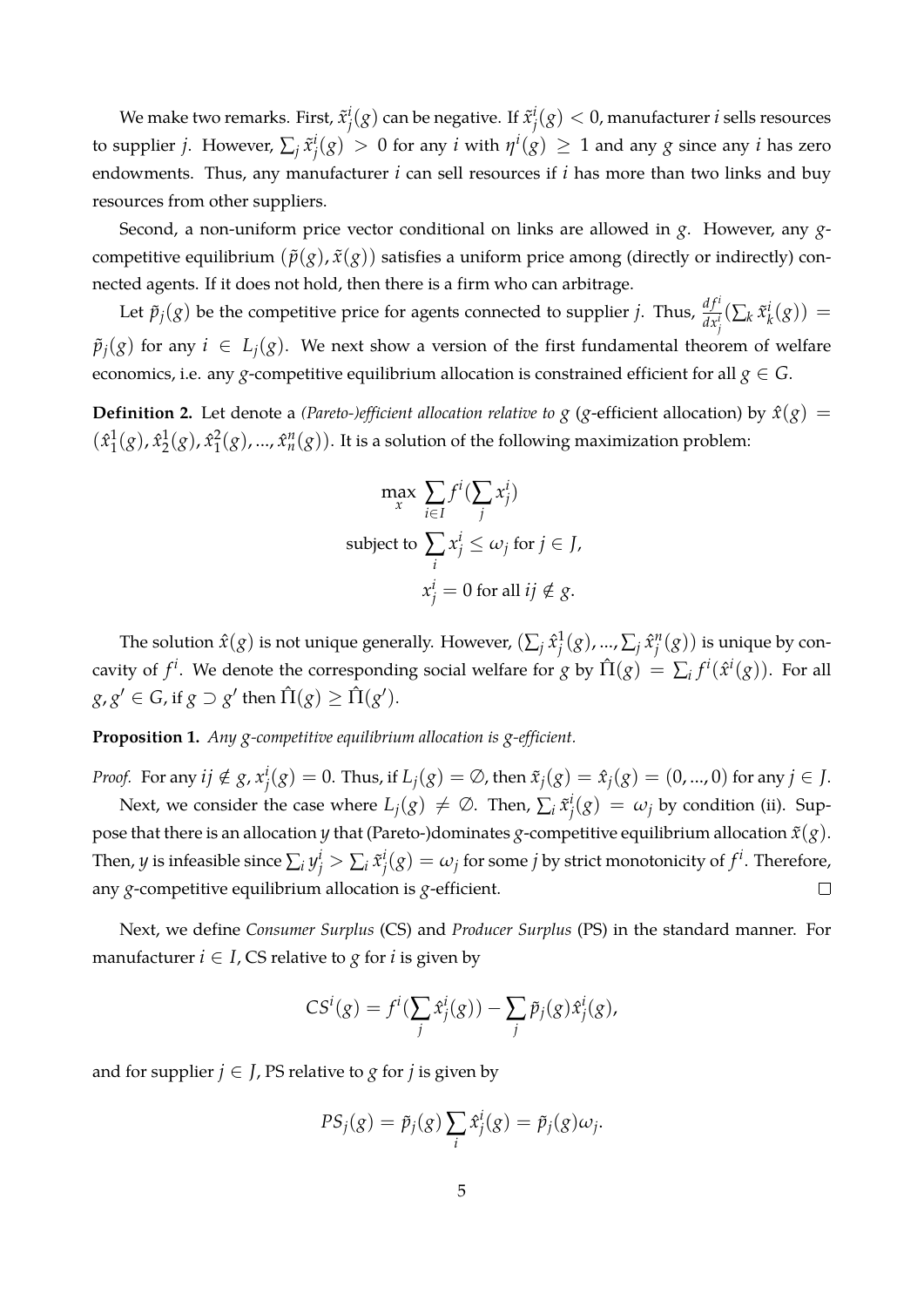We make two remarks. First,  $\tilde{x}^i_j$  $j^i(g)$  can be negative. If  $\tilde{x}^i_j$  $j^i_j(g) < 0$ , manufacturer  $i$  sells resources to supplier *j*. However,  $\sum_j \tilde{x}_j^i$  $f^i_j(g) > 0$  for any *i* with  $\eta^i(g) \geq 1$  and any  $g$  since any *i* has zero endowments. Thus, any manufacturer *i* can sell resources if *i* has more than two links and buy resources from other suppliers.

Second, a non-uniform price vector conditional on links are allowed in *g*. However, any *g*competitive equilibrium  $(\tilde{p}(g), \tilde{x}(g))$  satisfies a uniform price among (directly or indirectly) connected agents. If it does not hold, then there is a firm who can arbitrage.

Let  $\tilde{p}_j(g)$  be the competitive price for agents connected to supplier *j*. Thus,  $\frac{df^i}{dx^i_j}(\sum_k \tilde{x}^i_j)$  $\frac{i}{k}(g)$ ) =  $\tilde{p}_i(g)$  for any  $i \in L_i(g)$ . We next show a version of the first fundamental theorem of welfare economics, i.e. any *g*-competitive equilibrium allocation is constrained efficient for all  $g \in G$ .

**Definition 2.** Let denote a *(Pareto-)efficient allocation relative to*  $g$  ( $g$ -efficient allocation) by  $\hat{x}(g)$  =  $(x_1^1)$  $\frac{1}{1}(g)$ ,  $\hat{x}_2^1$  $\frac{1}{2}(g)$ ,  $\hat{x}_1^2$  $\hat{I}_1^2(g)$ , ...,  $\hat{x}_n^n(g)$ ). It is a solution of the following maximization problem:

$$
\max_{x} \sum_{i \in I} f^i(\sum_j x_j^i)
$$
  
subject to 
$$
\sum_i x_j^i \le \omega_j \text{ for } j \in J,
$$

$$
x_j^i = 0 \text{ for all } ij \notin g.
$$

The solution  $\hat{x}(g)$  is not unique generally. However,  $(\sum_j \hat{x}^1_j)$  $\frac{1}{j}(g)$ , ...,  $\sum_j \hat{x}^n_j$  $j^n_{j}(g)$ ) is unique by concavity of  $f^i$ . We denote the corresponding social welfare for *g* by  $\hat{\Pi}(g) = \sum_i f^i(\hat{x}^i(g))$ . For all  $g$ ,  $g' \in G$ , if  $g \supset g'$  then  $\hat{\Pi}(g) \geq \hat{\Pi}(g').$ 

**Proposition 1.** *Any g-competitive equilibrium allocation is g-efficient.*

*Proof.* For any  $ij \notin g$ ,  $x_i^i$  $\hat{x}^{i}_{j}(g) = 0$ . Thus, if  $L_{j}(g) = \emptyset$ , then  $\tilde{x}_{j}(g) = \hat{x}_{j}(g) = (0,...,0)$  for any  $j \in J$ .

Next, we consider the case where  $L_j(g) \neq \emptyset$ . Then,  $\sum_i \tilde{x}^i_j$  $j^i_j(g) = \omega_j$  by condition (ii). Suppose that there is an allocation *y* that (Pareto-)dominates *g*-competitive equilibrium allocation  $\tilde{x}(g)$ . Then, *y* is infeasible since  $\sum_i y^i_j > \sum_i \tilde{x}^i_j$  $f^i_j(g) = \omega_j$  for some  $j$  by strict monotonicity of  $f^i$ . Therefore, any *g*-competitive equilibrium allocation is *g*-efficient.  $\Box$ 

Next, we define *Consumer Surplus* (CS) and *Producer Surplus* (PS) in the standard manner. For manufacturer  $i \in I$ , CS relative to  $g$  for  $i$  is given by

$$
CS^{i}(g) = f^{i}(\sum_{j} \hat{x}_{j}^{i}(g)) - \sum_{j} \tilde{p}_{j}(g)\hat{x}_{j}^{i}(g),
$$

and for supplier  $j \in J$ , PS relative to  $g$  for  $j$  is given by

$$
PS_j(g) = \tilde{p}_j(g) \sum_i \hat{x}_j^i(g) = \tilde{p}_j(g)\omega_j.
$$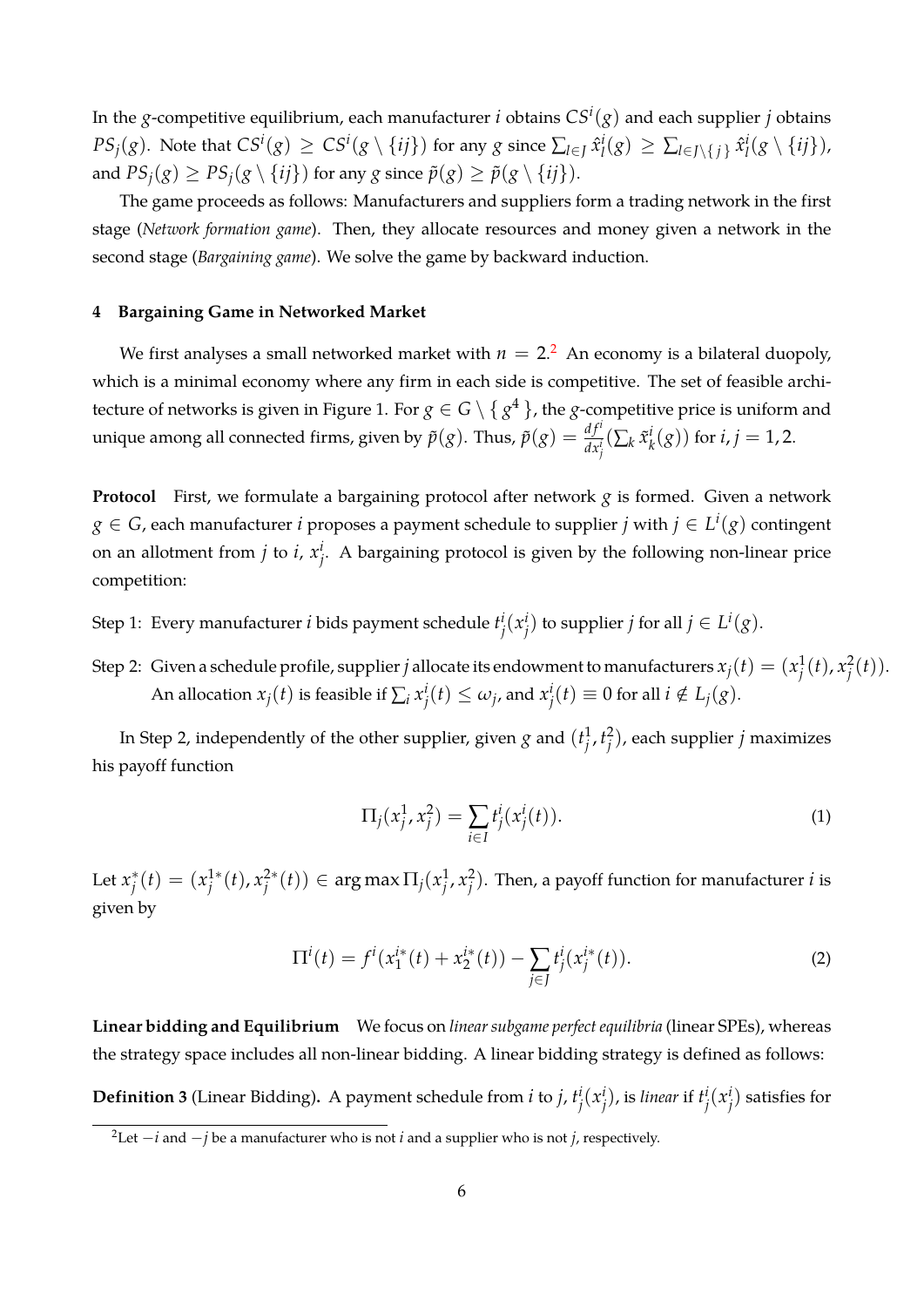In the *g*-competitive equilibrium, each manufacturer *i* obtains *CS<sup>i</sup>* (*g*) and each supplier *j* obtains  $PS_j(g)$ . Note that  $CS^i(g) \,\ge\, CS^i(g \setminus \{ij\})$  for any  $g$  since  $\sum_{l \in J} \hat{x}_l^i$  $\sum_{l}$ (g) ≥  $\sum_{l \in J \setminus \{j\}}$   $\hat{x}_l^i$  $\frac{i}{l}(g \setminus \{ij\})$ , and  $PS_j(g) \geq PS_j(g \setminus \{ij\})$  for any *g* since  $\tilde{p}(g) \geq \tilde{p}(g \setminus \{ij\})$ .

The game proceeds as follows: Manufacturers and suppliers form a trading network in the first stage (*Network formation game*). Then, they allocate resources and money given a network in the second stage (*Bargaining game*). We solve the game by backward induction.

## **4 Bargaining Game in Networked Market**

We first analyses a small networked market with  $n\,=\,2.^2\,$  An economy is a bilateral duopoly, which is a minimal economy where any firm in each side is competitive. The set of feasible architecture of networks is given in Figure 1. For *g ∈ G \ { g* <sup>4</sup> *}*, the *g*-competitive price is uniform and unique among all connected firms, given by  $\tilde{p}(g)$ . Thus,  $\tilde{p}(g) = \frac{df^i}{dx^i_j}(\sum_k \tilde{x}^i_j)$  $i_k^i(g)$ ) for *i*, *j* = 1, 2.

**Protocol** First, we formulate a bargaining protocol after network *g* is formed. Given a network *g ∈ G*, each manufacturer *i* proposes a payment schedule to supplier *j* with *j ∈ L i* (*g*) contingent on an allotment from  $j$  to  $i$ ,  $x_j^i$ *j* . A bargaining protocol is given by the following non-linear price competition:

Step 1: Every manufacturer *i* bids payment schedule *t i j* (*x i j*) to supplier *j* for all *j* ∈  $L$ <sup>*i*</sup>(*g*).

Step 2: Given a schedule profile, supplier  $j$  allocate its endowment to manufacturers  $x_j(t)=(x_j^1)$  $\frac{1}{j}(t)$ ,  $x_j^2$  $_{j}^{2}(t)).$ An allocation  $x_j(t)$  is feasible if  $\sum_i x_j^i$  $j^{i}(t) \leq \omega_{j}$ , and  $x^{i}_{j}$  $j<sup>i</sup>(t) ≡ 0$  for all  $i \notin L_j(g)$ .

In Step 2, independently of the other supplier, given  $g$  and  $(t_i^1)$  $\frac{1}{j}$ ,  $t_j^2$ *j* ), each supplier *j* maximizes his payoff function

$$
\Pi_j(x_j^1, x_j^2) = \sum_{i \in I} t_j^i(x_j^i(t)).
$$
\n(1)

Let  $x_i^*$  $j^{*}(t) = (x_j^{1*})$ *j* (*t*), *x* 2*∗*  $\mathcal{G}^{\ast}_{j}(t)) \in \argmax \Pi_{j}(x_{j}^{1})$  $\frac{1}{j}$ ,  $x_j^2$  $j^2$ ). Then, a payoff function for manufacturer *i* is given by

$$
\Pi^{i}(t) = f^{i}(x_{1}^{i*}(t) + x_{2}^{i*}(t)) - \sum_{j \in J} t_{j}^{i}(x_{j}^{i*}(t)).
$$
\n(2)

**Linear bidding and Equilibrium** We focus on *linear subgame perfect equilibria* (linear SPEs), whereas the strategy space includes all non-linear bidding. A linear bidding strategy is defined as follows:

**Definition 3** (Linear Bidding)**.** A payment schedule from *i* to *j*, *t i j* (*x i j* ), is *linear* if *t i j* (*x i*  $j$ <sup>*i*</sup>) satisfies for

<sup>2</sup>Let *−i* and *−j* be a manufacturer who is not *i* and a supplier who is not *j*, respectively.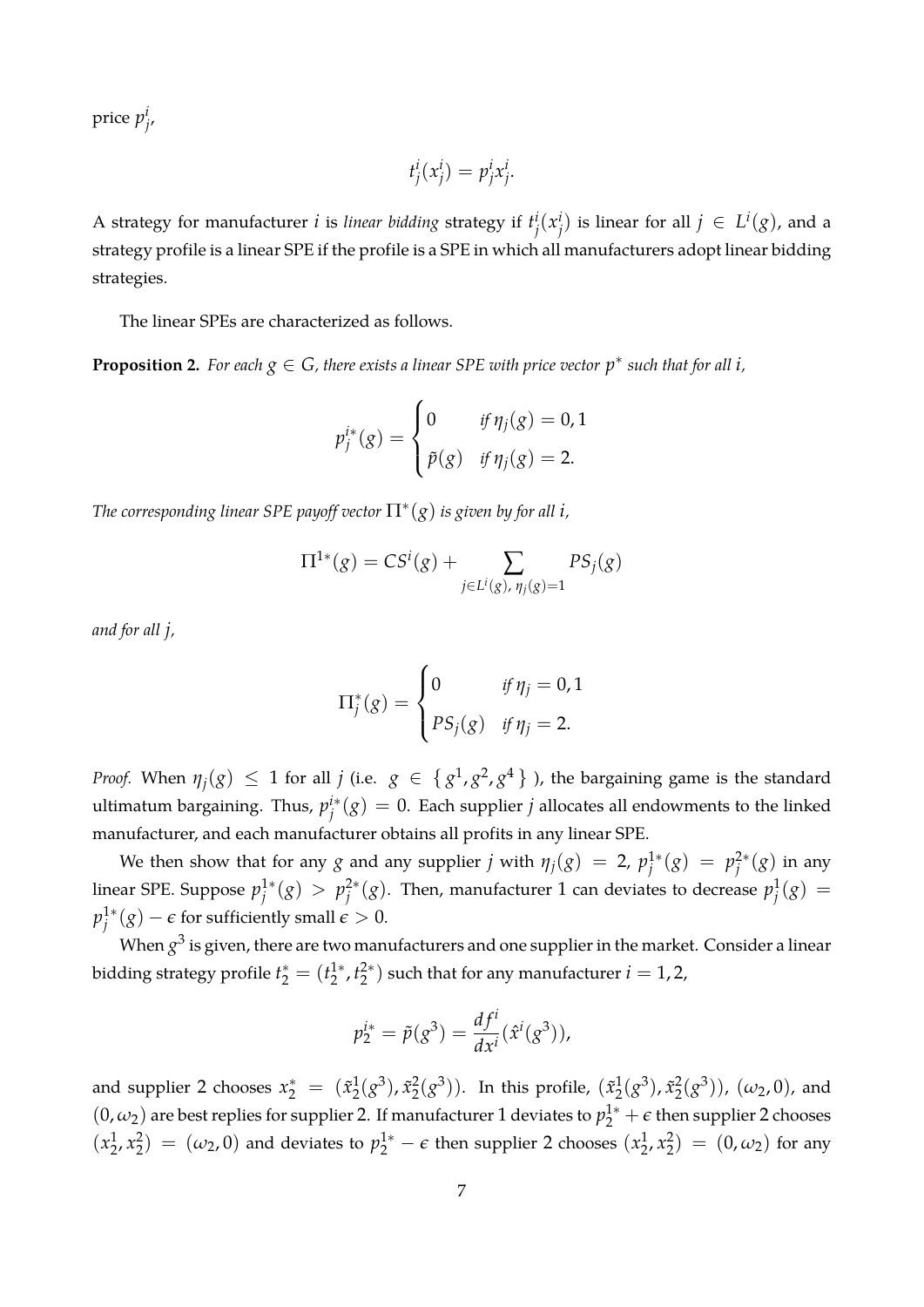price *p i j* ,

$$
t^i_j(x^i_j) = p^i_j x^i_j.
$$

A strategy for manufacturer *i* is *linear bidding* strategy if *t i j* (*x i j*) is linear for all  $j ∈ L<sup>i</sup>(g)$ , and a strategy profile is a linear SPE if the profile is a SPE in which all manufacturers adopt linear bidding strategies.

The linear SPEs are characterized as follows.

<span id="page-7-0"></span>**Proposition 2.** For each  $g \in G$ , there exists a linear SPE with price vector  $p^*$  such that for all *i*,

$$
p_j^{i*}(g) = \begin{cases} 0 & \text{if } \eta_j(g) = 0, 1 \\ \tilde{p}(g) & \text{if } \eta_j(g) = 2. \end{cases}
$$

*The corresponding linear SPE payoff vector* Π*<sup>∗</sup>* (*g*) *is given by for all i,*

$$
\Pi^{1*}(g) = CS^{i}(g) + \sum_{j \in L^{i}(g), \eta_{j}(g) = 1} PS_{j}(g)
$$

*and for all j,*

$$
\Pi_j^*(g) = \begin{cases} 0 & \text{if } \eta_j = 0, 1 \\ PS_j(g) & \text{if } \eta_j = 2. \end{cases}
$$

*Proof.* When  $\eta_j(g) \leq 1$  for all *j* (i.e.  $g \in \{g^1, g^2, g^4\}$  ), the bargaining game is the standard ultimatum bargaining. Thus, *p i∗*  $j^{i*}(g) = 0$ . Each supplier  $j$  allocates all endowments to the linked manufacturer, and each manufacturer obtains all profits in any linear SPE.

We then show that for any *g* and any supplier *j* with  $\eta_j(g) = 2$ ,  $p_j^{1*}$  $j^{1*}(g) = p_j^{2*}$  $j^{2*}(g)$  in any linear SPE. Suppose *p* 1*∗*  $j^{1*}(g) > p_j^{2*}$  $\frac{2^*}{j}(g)$ . Then, manufacturer 1 can deviates to decrease  $p^1_j$  $j^1(g) =$ *p* 1*∗*  $j$ <sup>1\*</sup> $(g)$  −  $\epsilon$  for sufficiently small  $\epsilon > 0$ .

When  $g^3$  is given*,* there are two manufacturers and one supplier in the market. Consider a linear bidding strategy profile  $t_2^* = (t_2^{1*})$ 2 , *t* 2*∗*  $2^{(2)}$  such that for any manufacturer  $i = 1, 2,$ 

$$
p_2^{i*} = \tilde{p}(g^3) = \frac{df^i}{dx^i}(\hat{x}^i(g^3)),
$$

and supplier 2 chooses  $x_2^* = (\tilde{x}_2^1)$  $\frac{1}{2}(g^3)$ ,  $\tilde{x}_2^2$  $2^2(g^3)$ ). In this profile,  $(\tilde{x}_2^1)$  $\tilde{x}_2^1(g^3)$ ,  $\tilde{x}_2^2$  $(\frac{2}{2}(g^3))$ ,  $(\omega_2, 0)$ , and  $(0, \omega_2)$  are best replies for supplier 2. If manufacturer 1 deviates to  $p_2^{1*} + \epsilon$  then supplier 2 chooses  $(x_2^1)$  $\frac{1}{2}$ ,  $x_2^2$  $\left( \frac{2}{2} \right) = (\omega_2, 0)$  and deviates to  $p_2^{1*} - \epsilon$  then supplier 2 chooses  $\left( x_2^{1*} \right)$  $\frac{1}{2}$ ,  $x_2^2$  $\binom{2}{2} = (0, \omega_2)$  for any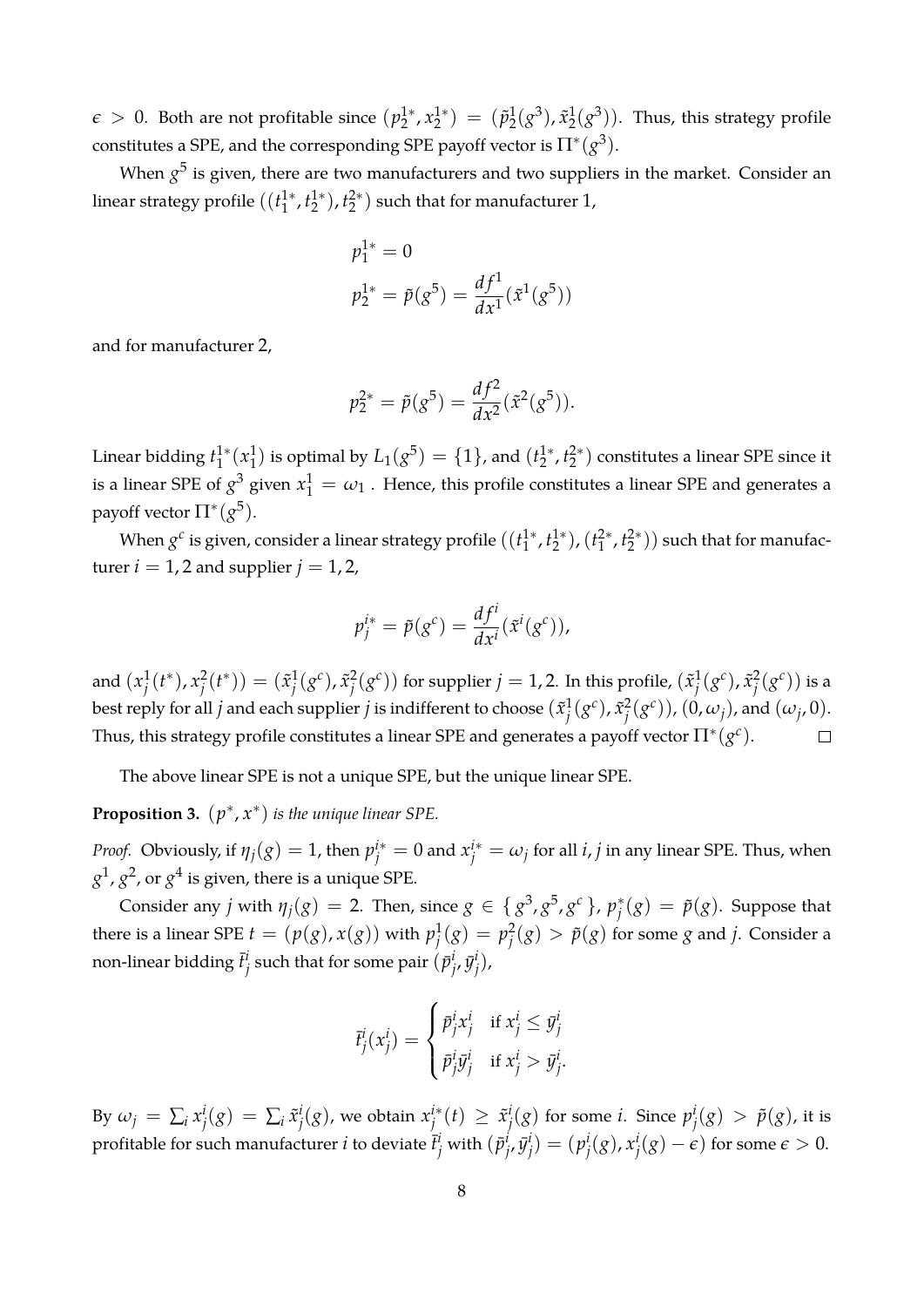$\epsilon > 0$ . Both are not profitable since  $(p_2^{1*})$  $x_2^{1*}$ ,  $x_2^{1*}$  $\binom{1}{2} = (\tilde{p}_2^1)$  $\frac{1}{2}(g^3)$ ,  $\tilde{x}_2^1$  $2^1(2^3)$ ). Thus, this strategy profile constitutes a SPE, and the corresponding SPE payoff vector is  $\Pi^*(g^3)$ .

When  $g^5$  is given*,* there are two manufacturers and two suppliers in the market. Consider an linear strategy profile ((*t* 1*∗*  $1^*$ ,  $t_2^{1*}$ 2 ), *t* 2*∗*  $2^{(2*)}$  such that for manufacturer 1,

$$
p_1^{1*} = 0
$$
  

$$
p_2^{1*} = \tilde{p}(g^5) = \frac{df^1}{dx^1}(\tilde{x}^1(g^5))
$$

and for manufacturer 2,

$$
p_2^{2*} = \tilde{p}(g^5) = \frac{df^2}{dx^2}(\tilde{x}^2(g^5)).
$$

Linear bidding *t* 1*∗*  $x_1^{1*}(x_1^1)$  $\binom{1}{1}$  is optimal by  $L_1(g^5) = \{1\}$ , and  $(t_2^{1*})$  $t_2^{1*}$ ,  $t_2^{2*}$  $2^2$ <sup>2</sup> constitutes a linear SPE since it is a linear SPE of  $g^3$  given  $x_1^1 = \omega_1$  . Hence, this profile constitutes a linear SPE and generates a payoff vector  $\Pi^*(g^5)$ .

When  $g^c$  is given, consider a linear strategy profile  $((t_1^{1*})^T)$  $i_1^{1*}, i_2^{1*}$ 2 ),(*t* 2*∗*  $t_1^{2*}$ ,  $t_2^{2*}$  $\binom{2}{2}$ ) such that for manufacturer  $i = 1, 2$  and supplier  $j = 1, 2$ ,

$$
p_j^{i*} = \tilde{p}(g^c) = \frac{df^i}{dx^i}(\tilde{x}^i(g^c)),
$$

and  $(x_i^1)$  $\frac{1}{j}(t^*)$ ,  $x_j^2$  $j^2(t^*)$ ) = ( $\tilde{x}_j^1$  $^1_j(g^c)$ ,  $\tilde{x}^2_j$  $j^2(g^c)$ ) for supplier  $j=1,2.$  In this profile,  $(\tilde{x}^1_j)$  $\tilde{J}^1_2(g^c)$  ,  $\tilde{x}^2_j$  $_{j}^{2}(g^{c}))$  is a best reply for all  $j$  and each supplier  $j$  is indifferent to choose  $(\tilde{x}^1_i)$  $^1_j(g^c)$ ,  $\tilde{x}^2_j$  $\frac{2}{j}(g^c)$ ),  $(0, \omega_j)$ , and  $(\omega_j, 0)$ . Thus, this strategy profile constitutes a linear SPE and generates a payoff vector  $\Pi^*(g^c)$ .  $\Box$ 

The above linear SPE is not a unique SPE, but the unique linear SPE.

**Proposition 3.**  $(p^*, x^*)$  *is the unique linear SPE.* 

*Proof.* Obviously, if  $\eta_j(g) = 1$ , then  $p_j^{i*} = 0$  and  $x_j^{i*} = \omega_j$  for all *i*, *j* in any linear SPE. Thus, when  $g^1$ ,  $g^2$ , or  $g^4$  is given, there is a unique SPE.

Consider any *j* with  $\eta_j(g) = 2$ . Then, since  $g \in \{g^3, g^5, g^c\}$ ,  $p_j^*$  $j^*(g) = \tilde{p}(g)$ . Suppose that there is a linear SPE  $t = (p(g), x(g))$  with  $p_i^1$  $j^1(g) = p_j^2$  $j^2_j(g) > \tilde{p}(g)$  for some  $g$  and  $j$ . Consider a non-linear bidding  $\bar{t}^i_j$  $j^i_j$  such that for some pair  $(\bar{p}^i_j)$ *j* , *y*¯ *i j* ),

$$
\bar{t}^i_j(x^i_j) = \begin{cases} \bar{p}^i_j x^i_j & \text{if } x^i_j \leq \bar{y}^i_j \\ \bar{p}^i_j \bar{y}^i_j & \text{if } x^i_j > \bar{y}^i_j. \end{cases}
$$

By  $\omega_j = \sum_i x_i^i$  $j^i(g) = \sum_i \tilde{x}^i_j$  $j^{i}(g)$ , we obtain  $x^{i*}$ <sub>*j*</sub>  $j^{i*}(t) \geq \tilde{x}_j^i$  $j^i(g)$  for some *i*. Since  $p^i_j$  $\tilde{p}^{i}_{j}(g) > \tilde{p}(g)$ , it is profitable for such manufacturer  $i$  to deviate  $\bar{t}^i_j$  with  $(\bar{p}^i_j)$ *j* , *y*¯ *i*  $j^{i}) = (p_{j}^{i})$ *j* (*g*), *x i j* (*g*) *− ϵ*) for some *ϵ >* 0.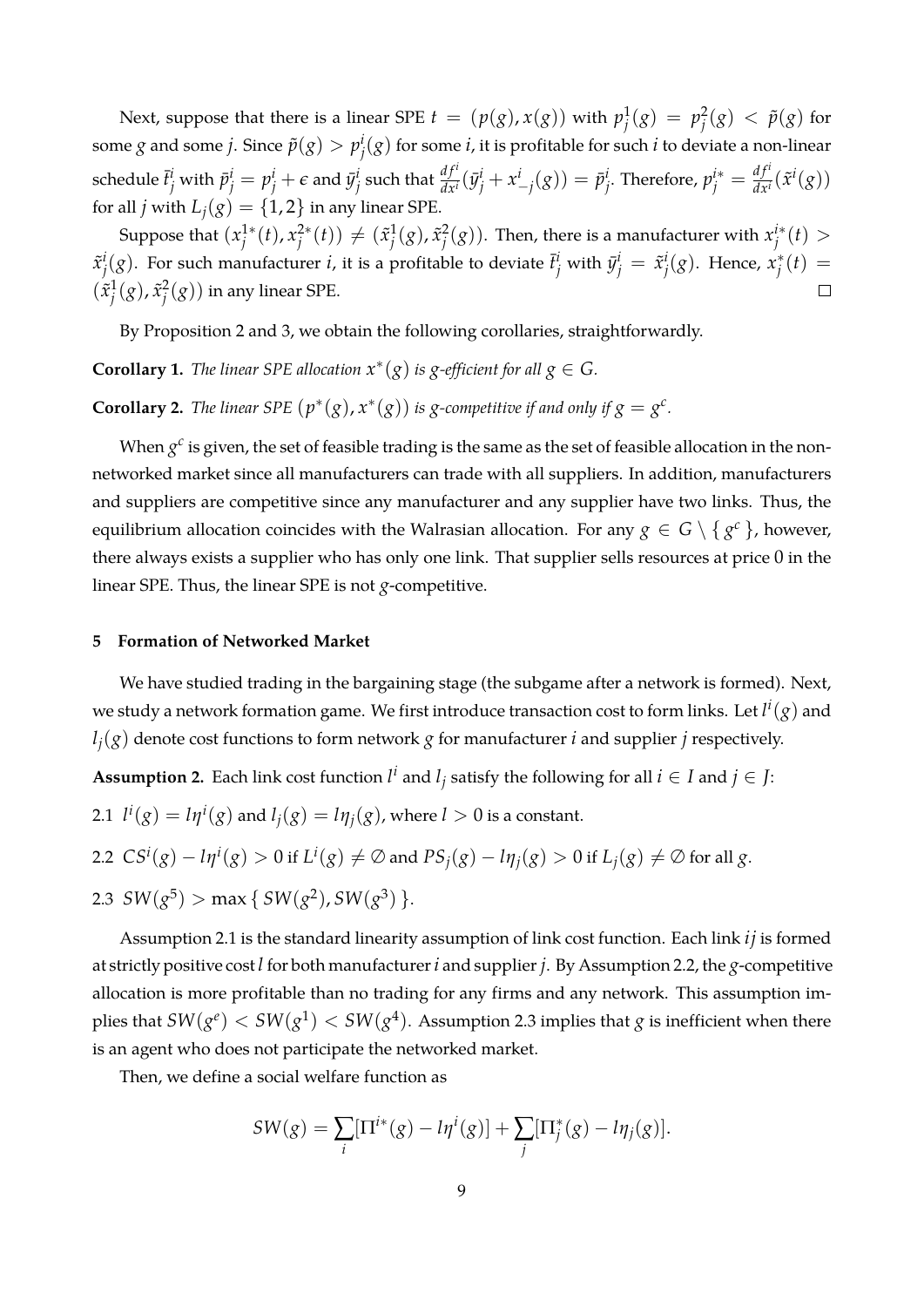Next, suppose that there is a linear SPE  $t = (p(g), x(g))$  with  $p_i^1$  $j^1(g) = p_j^2$  $\frac{2}{j}(g) < \tilde{p}(g)$  for some *g* and some *j*. Since  $\tilde{p}(g) > p_i^i$  $j^i(g)$  for some  $i$ , it is profitable for such  $i$  to deviate a non-linear schedule  $\bar{t}^i_j$  with  $\bar{p}^i_j = p^i_j + \epsilon$  and  $\bar{y}^i_j$  $\frac{d}{dt}$  such that  $\frac{df^{i}}{dx^{i}}( \bar{y}^{i}_{j} + x^{i}_{-j}(g)) = \bar{p}^{i}_{j}$ *j*. Therefore,  $p_j^{i*} = \frac{df^i}{dx^i}$  $\frac{df'}{dx'}(\tilde{x}^i(g))$ for all *j* with  $L_i(g) = \{1, 2\}$  in any linear SPE.

Suppose that  $(x_i^1^*$ *j* (*t*), *x* 2*∗*  $j^{2*}(t)) \neq (\tilde{x}_j^1)$  $^1_j(g)$ ,  $\tilde{x}^2_j$  $\mathcal{L}^2_j(g)$ ). Then, there is a manufacturer with  $x^{i*}_j$ *j* (*t*) *> j* (*g*). Hence, *x ∗*  $\tilde{x}^i_i$  $j^i(g)$ . For such manufacturer *i*, it is a profitable to deviate  $\bar{t}^i_j$  with  $\bar{y}^i_j = \tilde{x}^i_j$  $j^{*}(t) =$  $(\tilde{x}_i^1)$  $^1_j(g)$ ,  $\tilde{x}^2_j$  $\frac{2}{j}(g)$ ) in any linear SPE. П

By Proposition 2 and 3, we obtain the following corollaries, straightforwardly.

**Corollary 1.** *The linear SPE allocation*  $x^*(g)$  *is*  $g$ -efficient for all  $g \in G$ *.* 

**Corollary 2.** *The linear SPE*  $(p^*(g), x^*(g))$  *is g-competitive if and only if*  $g = g^c$ *.* 

When  $g^c$  is given, the set of feasible trading is the same as the set of feasible allocation in the nonnetworked market since all manufacturers can trade with all suppliers. In addition, manufacturers and suppliers are competitive since any manufacturer and any supplier have two links. Thus, the equilibrium allocation coincides with the Walrasian allocation. For any  $g \in G \setminus \{g^c\}$ , however, there always exists a supplier who has only one link. That supplier sells resources at price 0 in the linear SPE. Thus, the linear SPE is not *g*-competitive.

## **5 Formation of Networked Market**

We have studied trading in the bargaining stage (the subgame after a network is formed). Next, we study a network formation game. We first introduce transaction cost to form links. Let  $l^i(\overline{g})$  and  $l_i(g)$  denote cost functions to form network *g* for manufacturer *i* and supplier *j* respectively.

**Assumption 2.** Each link cost function  $l^i$  and  $l_j$  satisfy the following for all  $i \in I$  and  $j \in J$ :

2.1 
$$
l^i(g) = l\eta^i(g)
$$
 and  $l_j(g) = l\eta_j(g)$ , where  $l > 0$  is a constant.

2.2 
$$
CS^i(g) - l\eta^i(g) > 0
$$
 if  $L^i(g) \neq \emptyset$  and  $PS_j(g) - l\eta_j(g) > 0$  if  $L_j(g) \neq \emptyset$  for all  $g$ .

2.3  $SW(g^5) > \max\set{SW(g^2), SW(g^3)}.$ 

Assumption 2.1 is the standard linearity assumption of link cost function. Each link *ij* is formed at strictly positive cost *l* for both manufacturer*i* and supplier *j*. By Assumption 2.2, the *g*-competitive allocation is more profitable than no trading for any firms and any network. This assumption implies that  $SW(g^e) < SW(g^1) < SW(g^4).$  Assumption 2.3 implies that  $g$  is inefficient when there is an agent who does not participate the networked market.

Then, we define a social welfare function as

$$
SW(g) = \sum_{i} [\Pi^{i*}(g) - l\eta^{i}(g)] + \sum_{j} [\Pi^{*}_{j}(g) - l\eta_{j}(g)].
$$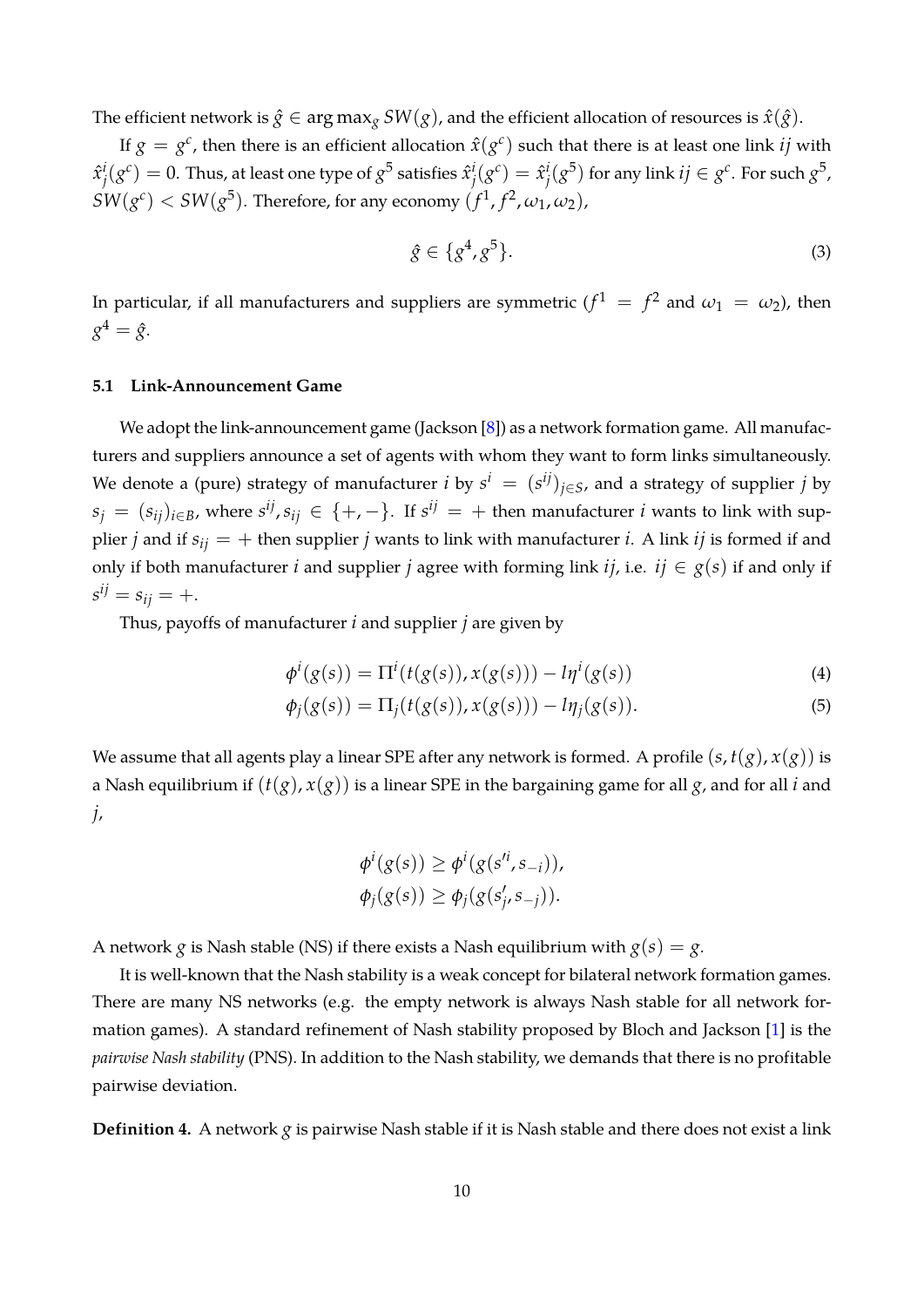<span id="page-10-1"></span>The efficient network is  $\hat{g} \in \arg \max_{g} SW(g)$ , and the efficient allocation of resources is  $\hat{x}(\hat{g})$ .

If  $g = g^c$ , then there is an efficient allocation  $\hat{x}(g^c)$  such that there is at least one link *ij* with  $\hat{x}^i_i$  $\hat{g}^i(s^c) = 0.$  Thus, at least one type of  $g^5$  satisfies  $\hat{x}^i_j$  $j^i(g^c) = \hat{x}^i_j$  $j^i(g^5)$  for any link  $ij\in g^c$ . For such  $g^5$ ,  $SW(g^c) < SW(g^5)$ . Therefore, for any economy  $(f^1, f^2, \omega_1, \omega_2)$ ,

<span id="page-10-0"></span>
$$
\hat{g} \in \{g^4, g^5\}.\tag{3}
$$

In particular, if all manufacturers and suppliers are symmetric  $(f^1 = f^2$  and  $\omega_1 = \omega_2$ ), then  $g^4 = \hat{g}$ .

## **5.1 Link-Announcement Game**

We adopt the link-announcement game (Jackson [\[8\]](#page-16-8)) as a network formation game. All manufacturers and suppliers announce a set of agents with whom they want to form links simultaneously. We denote a (pure) strategy of manufacturer *i* by  $s^i = (s^{ij})_{j \in S}$ , and a strategy of supplier *j* by  $s_j = (s_{ij})_{i \in B}$ , where  $s^{ij}$ ,  $s_{ij} \in \{+, -\}.$  If  $s^{ij} = +$  then manufacturer *i* wants to link with supplier *j* and if  $s_{ij} = +$  then supplier *j* wants to link with manufacturer *i*. A link *ij* is formed if and only if both manufacturer *i* and supplier *j* agree with forming link *ij*, i.e. *ij*  $\in$  *g*(*s*) if and only if  $s^{ij} = s_{ij} = +$ .

Thus, payoffs of manufacturer *i* and supplier *j* are given by

$$
\phi^{i}(g(s)) = \Pi^{i}(t(g(s)), x(g(s))) - l\eta^{i}(g(s))
$$
\n(4)

$$
\phi_j(g(s)) = \Pi_j(t(g(s)), x(g(s))) - l\eta_j(g(s)).
$$
\n(5)

We assume that all agents play a linear SPE after any network is formed. A profile  $(s, t(g), x(g))$  is a Nash equilibrium if (*t*(*g*), *x*(*g*)) is a linear SPE in the bargaining game for all *g*, and for all *i* and *j*,

$$
\phi^i(g(s)) \geq \phi^i(g(s^{i}, s_{-i})),
$$
  

$$
\phi_j(g(s)) \geq \phi_j(g(s'_j, s_{-j})).
$$

A network *g* is Nash stable (NS) if there exists a Nash equilibrium with  $g(s) = g$ .

It is well-known that the Nash stability is a weak concept for bilateral network formation games. There are many NS networks (e.g. the empty network is always Nash stable for all network formation games). A standard refinement of Nash stability proposed by Bloch and Jackson [\[1\]](#page-16-9) is the *pairwise Nash stability* (PNS). In addition to the Nash stability, we demands that there is no profitable pairwise deviation.

**Definition 4.** A network *g* is pairwise Nash stable if it is Nash stable and there does not exist a link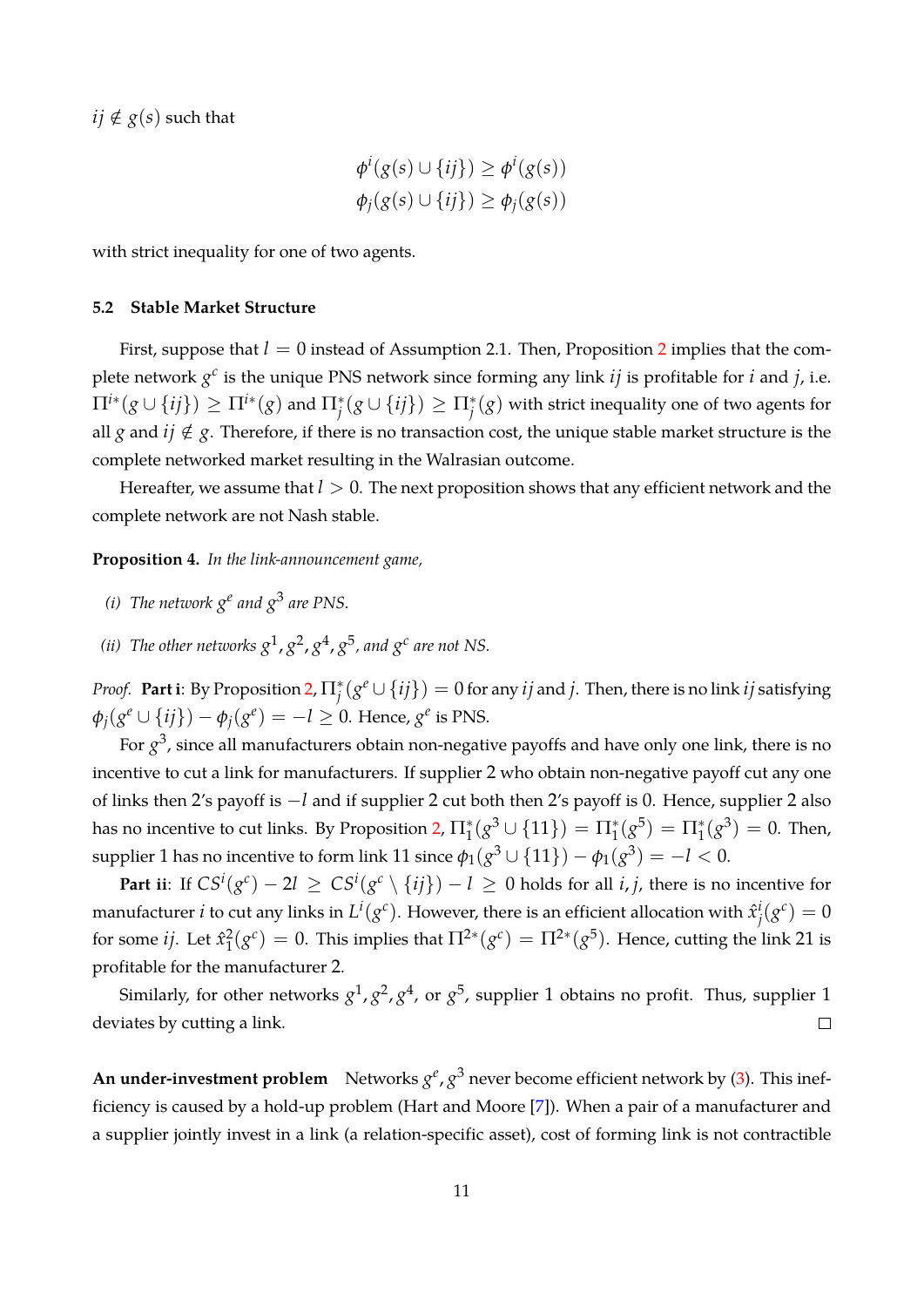<span id="page-11-0"></span>*ij* ∉  $g(s)$  such that

$$
\phi^i(g(s) \cup \{ij\}) \ge \phi^i(g(s))
$$
  

$$
\phi_j(g(s) \cup \{ij\}) \ge \phi_j(g(s))
$$

with strict inequality for one of two agents.

#### **5.2 Stable Market Structure**

First, suppose that  $l = 0$  instead of Assumption [2](#page-7-0).1. Then, Proposition 2 implies that the complete network  $g^c$  is the unique PNS network since forming any link *ij* is profitable for *i* and *j*, i.e.  $\Pi^{i*}(g\cup\{ij\})\geq\Pi^{i*}(g)$  and  $\Pi^*_j(g\cup\{ij\})\geq\Pi^*_j(g)$  with strict inequality one of two agents for all *g* and  $ij \notin g$ . Therefore, if there is no transaction cost, the unique stable market structure is the complete networked market resulting in the Walrasian outcome.

Hereafter, we assume that *l >* 0. The next proposition shows that any efficient network and the complete network are not Nash stable.

**Proposition 4.** *In the link-announcement game,*

- *(i)* The network  $g^e$  and  $g^3$  are PNS.
- *(ii)* The other networks  $g^1$ ,  $g^2$ ,  $g^4$ ,  $g^5$ , and  $g^c$  are not NS.

*Proof.* Part i: By Proposition [2,](#page-7-0)  $\Pi^*_j(g^e \cup \{ij\}) = 0$  for any  $ij$  and  $j$ . Then, there is no link  $ij$  satisfying  $\phi_j(g^e \cup \{ij\}) - \phi_j(g^e) = -l \geq 0$ . Hence,  $g^e$  is PNS.

For *g* 3 , since all manufacturers obtain non-negative payoffs and have only one link, there is no incentive to cut a link for manufacturers. If supplier 2 who obtain non-negative payoff cut any one of links then 2's payoff is *−l* and if supplier 2 cut both then 2's payoff is 0. Hence, supplier 2 also has no incentive to cut links. By Proposition [2,](#page-7-0)  $\Pi_1^*(g^3 \cup \{11\}) = \Pi_1^*(g^5) = \Pi_1^*(g^3) = 0$ . Then,  $\text{supplier 1 has no incentive to form link 11 since } \phi_1(g^3 \cup \{11\}) - \phi_1(g^3) = -l < 0.$ 

**Part ii**: If  $CS^i(g^c)-2l \,\ge\, CS^i(g^c\setminus\{ij\})-l \,\ge\, 0$  holds for all  $i,j$ , there is no incentive for manufacturer *i* to cut any links in  $L^i(g^c)$ . However, there is an efficient allocation with  $\hat{x}^i_i$  $j^i(g^c) = 0$ for some *ij*. Let  $\hat{x}_1^2$  $\Gamma_1^2(g^c) = 0$ . This implies that  $\Pi^{2*}(g^c) = \Pi^{2*}(g^5)$ . Hence, cutting the link 21 is profitable for the manufacturer 2.

Similarly, for other networks  $g^1, g^2, g^4$ , or  $g^5$ , supplier  $1$  obtains no profit. Thus, supplier  $1$ deviates by cutting a link.  $\Box$ 

**An under-investment problem** Networks  $g^e$ ,  $g^3$  never become efficient network by [\(3\)](#page-10-0). This inefficiency is caused by a hold-up problem (Hart and Moore [\[7\]](#page-16-10)). When a pair of a manufacturer and a supplier jointly invest in a link (a relation-specific asset), cost of forming link is not contractible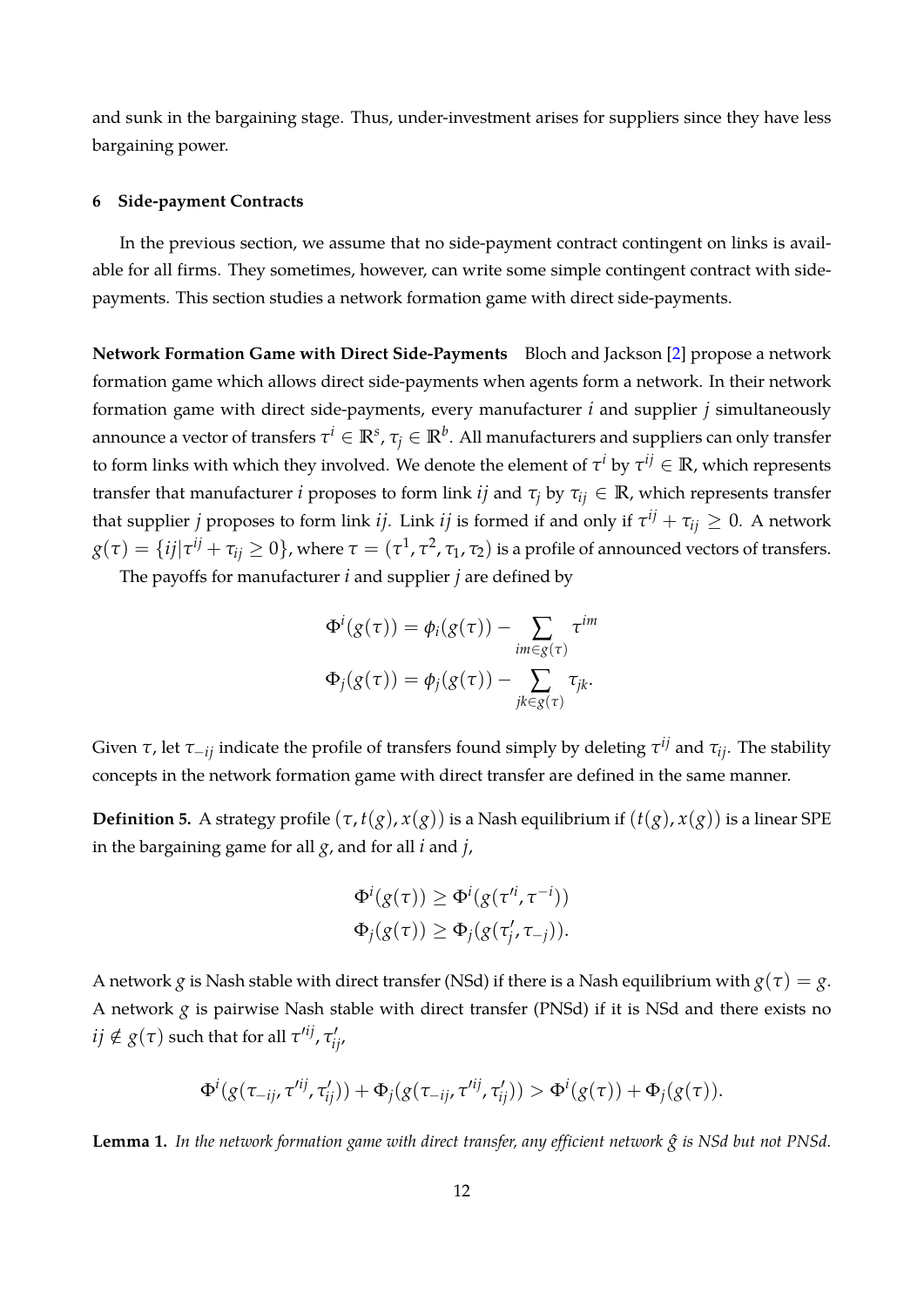<span id="page-12-1"></span>and sunk in the bargaining stage. Thus, under-investment arises for suppliers since they have less bargaining power.

## **6 Side-payment Contracts**

In the previous section, we assume that no side-payment contract contingent on links is available for all firms. They sometimes, however, can write some simple contingent contract with sidepayments. This section studies a network formation game with direct side-payments.

**Network Formation Game with Direct Side-Payments** Bloch and Jackson [\[2\]](#page-16-11) propose a network formation game which allows direct side-payments when agents form a network. In their network formation game with direct side-payments, every manufacturer *i* and supplier *j* simultaneously announce a vector of transfers  $\tau^i\in\mathbb{R}^s$ ,  $\tau_j\in\mathbb{R}^b$ . All manufacturers and suppliers can only transfer to form links with which they involved. We denote the element of  $\tau^i$  by  $\tau^{ij}\in\mathbb{R}$ , which represents transfer that manufacturer *i* proposes to form link *ij* and *τ<sup>j</sup>* by *τij ∈* **R**, which represents transfer that supplier *j* proposes to form link *ij*. Link *ij* is formed if and only if  $\tau^{ij} + \tau_{ij} \geq 0$ . A network  $g(\tau)=\{ij|\tau^{ij}+\tau_{ij}\geq 0\}$ , where  $\tau=(\tau^1,\tau^2,\tau_1,\tau_2)$  is a profile of announced vectors of transfers.

The payoffs for manufacturer *i* and supplier *j* are defined by

$$
\Phi^{i}(g(\tau)) = \phi_{i}(g(\tau)) - \sum_{im \in g(\tau)} \tau^{im}
$$

$$
\Phi_{j}(g(\tau)) = \phi_{j}(g(\tau)) - \sum_{jk \in g(\tau)} \tau_{jk}.
$$

Given *τ*, let *τ−ij* indicate the profile of transfers found simply by deleting *τ ij* and *τij*. The stability concepts in the network formation game with direct transfer are defined in the same manner.

**Definition 5.** A strategy profile  $(\tau, t(g), x(g))$  is a Nash equilibrium if  $(t(g), x(g))$  is a linear SPE in the bargaining game for all *g*, and for all *i* and *j*,

$$
\Phi^i(g(\tau)) \geq \Phi^i(g(\tau'^i, \tau^{-i}))
$$
  

$$
\Phi_j(g(\tau)) \geq \Phi_j(g(\tau'_j, \tau_{-j})).
$$

A network *g* is Nash stable with direct transfer (NSd) if there is a Nash equilibrium with  $g(\tau) = g$ . A network *g* is pairwise Nash stable with direct transfer (PNSd) if it is NSd and there exists no  $ij \notin g(\tau)$  such that for all  $\tau'^{ij}$ ,  $\tau'_{ij}$ ,

$$
\Phi^i(g(\tau_{-ij},\tau'^{ij},\tau'_{ij})) + \Phi_j(g(\tau_{-ij},\tau'^{ij},\tau'_{ij})) > \Phi^i(g(\tau)) + \Phi_j(g(\tau)).
$$

<span id="page-12-0"></span>**Lemma 1.** In the network formation game with direct transfer, any efficient network  $\hat{g}$  is NSd but not PNSd.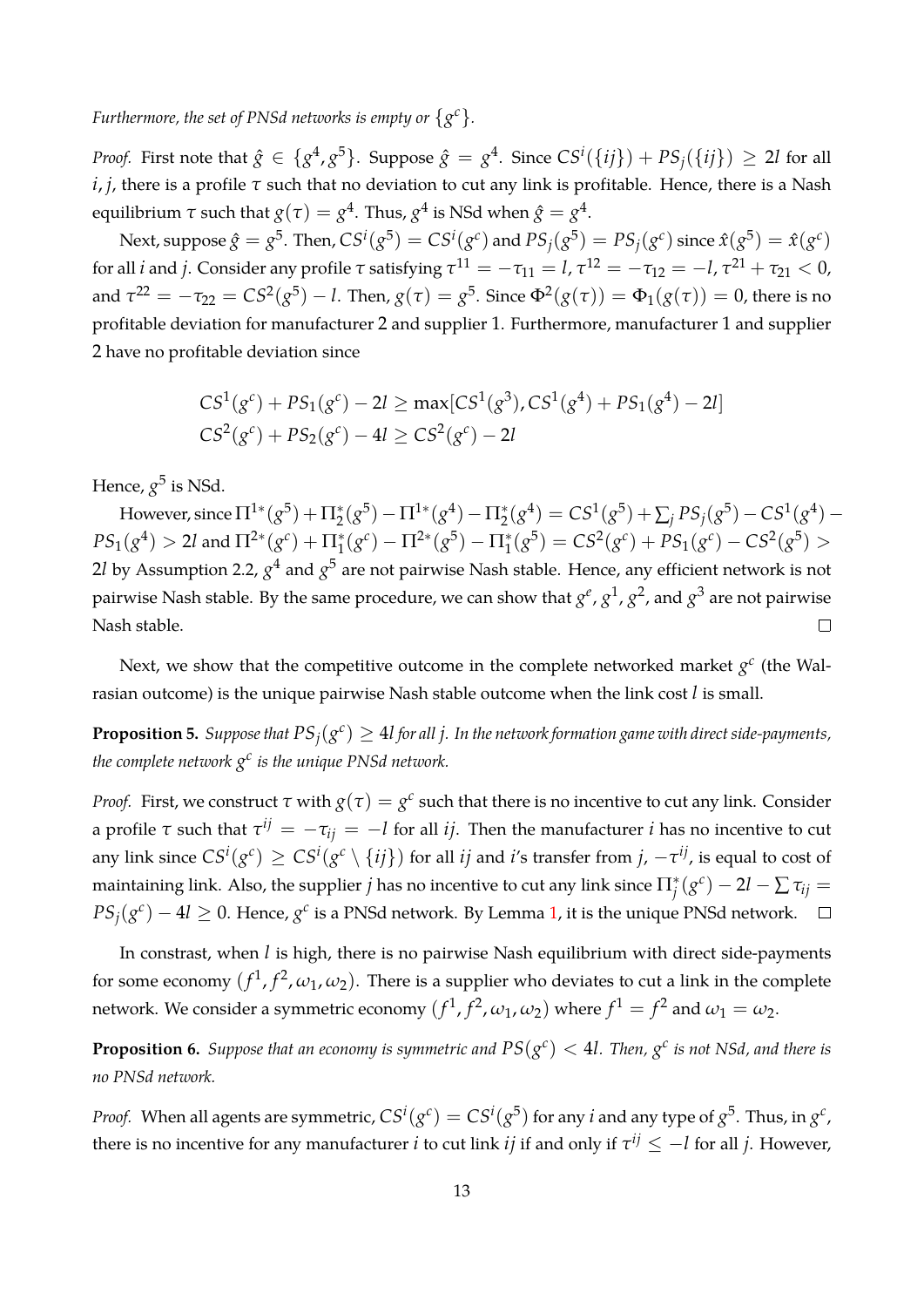*Furthermore, the set of PNSd networks is empty or*  $\{g^c\}$ *.* 

*Proof.* First note that  $\hat{g} \in \{g^4, g^5\}$ . Suppose  $\hat{g} = g^4$ . Since  $CS^i(\{ij\}) + PS_j(\{ij\}) \geq 2l$  for all *i*, *j*, there is a profile *τ* such that no deviation to cut any link is profitable. Hence, there is a Nash equilibrium *τ* such that  $g(\tau)=g^4.$  Thus,  $g^4$  is NSd when  $\hat{g}=g^4.$ 

Next, suppose  $\hat{g}=g^5$ . Then,  $CS^i(g^5)=CS^i(g^c)$  and  $PS_j(g^5)=PS_j(g^c)$  since  $\hat{x}(g^5)=\hat{x}(g^c)$ for all *i* and *j*. Consider any profile *τ* satisfying  $τ^{11} = -τ_{11} = l$ ,  $τ^{12} = -τ_{12} = -l$ ,  $τ^{21} + τ_{21} < 0$ , and  $\tau^{22} = -\tau_{22} = CS^2(g^5) - l$ . Then,  $g(\tau) = g^5$ . Since  $\Phi^2(g(\tau)) = \Phi_1(g(\tau)) = 0$ , there is no profitable deviation for manufacturer 2 and supplier 1. Furthermore, manufacturer 1 and supplier 2 have no profitable deviation since

$$
CS1(gc) + PS1(gc) - 2l \ge max[CS1(g3), CS1(g4) + PS1(g4) - 2l]
$$
  

$$
CS2(gc) + PS2(gc) - 4l \ge CS2(gc) - 2l
$$

Hence*, g<sup>5</sup> is* NSd.

However, since  $\Pi^{1*}(g^5) + \Pi_2^*(g^5) - \Pi^{1*}(g^4) - \Pi_2^*(g^4) = CS^1(g^5) + \sum_j PS_j(g^5) - CS^1(g^4) PS_1(g^4) > 2l$  and  $\Pi^{2*}(g^c) + \Pi_1^*(g^c) - \Pi^{2*}(g^5) - \Pi_1^*(g^5) = CS^2(g^c) + PS_1(g^c) - CS^2(g^5) >$  $2l$  by Assumption 2.2,  $g^4$  and  $g^5$  are not pairwise Nash stable. Hence, any efficient network is not pairwise Nash stable. By the same procedure*,* we can show that  $g^e$  ,  $g^1$  ,  $g^2$  , and  $g^3$  are not pairwise Nash stable.  $\Box$ 

Next, we show that the competitive outcome in the complete networked market  $g<sup>c</sup>$  (the Walrasian outcome) is the unique pairwise Nash stable outcome when the link cost *l* is small.

**Proposition 5.** Suppose that  $PS_j(g^c) \geq 4l$  for all  $j$ . In the network formation game with direct side-payments, the complete network  $g^c$  is the unique PNSd network.

*Proof.* First, we construct  $\tau$  with  $g(\tau) = g^c$  such that there is no incentive to cut any link. Consider a profile  $\tau$  such that  $\tau^{ij} = -\tau_{ij} = -l$  for all *ij*. Then the manufacturer *i* has no incentive to cut any link since  $CS^i(g^c)\geq{CS^i(g^c\setminus\{ij\})}$  for all  $ij$  and  $i$ 's transfer from  $j$ ,  $-\tau^{ij}$ , is equal to cost of maintaining link. Also, the supplier  $j$  has no incentive to cut any link since  $\Pi^*_j(g^c)-2l-\sum\tau_{ij}=0$  $PS_j(g^c) - 4l \geq 0$ . Hence,  $g^c$  is a PNSd network. By Lemma [1,](#page-12-0) it is the unique PNSd network.

In constrast, when *l* is high, there is no pairwise Nash equilibrium with direct side-payments for some economy  $(f^1, f^2, \omega_1, \omega_2)$ . There is a supplier who deviates to cut a link in the complete network. We consider a symmetric economy  $(f^1,f^2,\omega_1,\omega_2)$  where  $f^1=f^2$  and  $\omega_1=\omega_2$ .

**Proposition 6.** Suppose that an economy is symmetric and  $PS(g^c) < 4l$ . Then,  $g^c$  is not NSd, and there is *no PNSd network.*

*Proof.* When all agents are symmetric,  $C S^i(g^c) = C S^i(g^5)$  for any *i* and any type of  $g^5$ . Thus, in  $g^c$ , there is no incentive for any manufacturer  $i$  to cut link  $ij$  if and only if  $\tau^{ij} \leq -l$  for all  $j.$  However,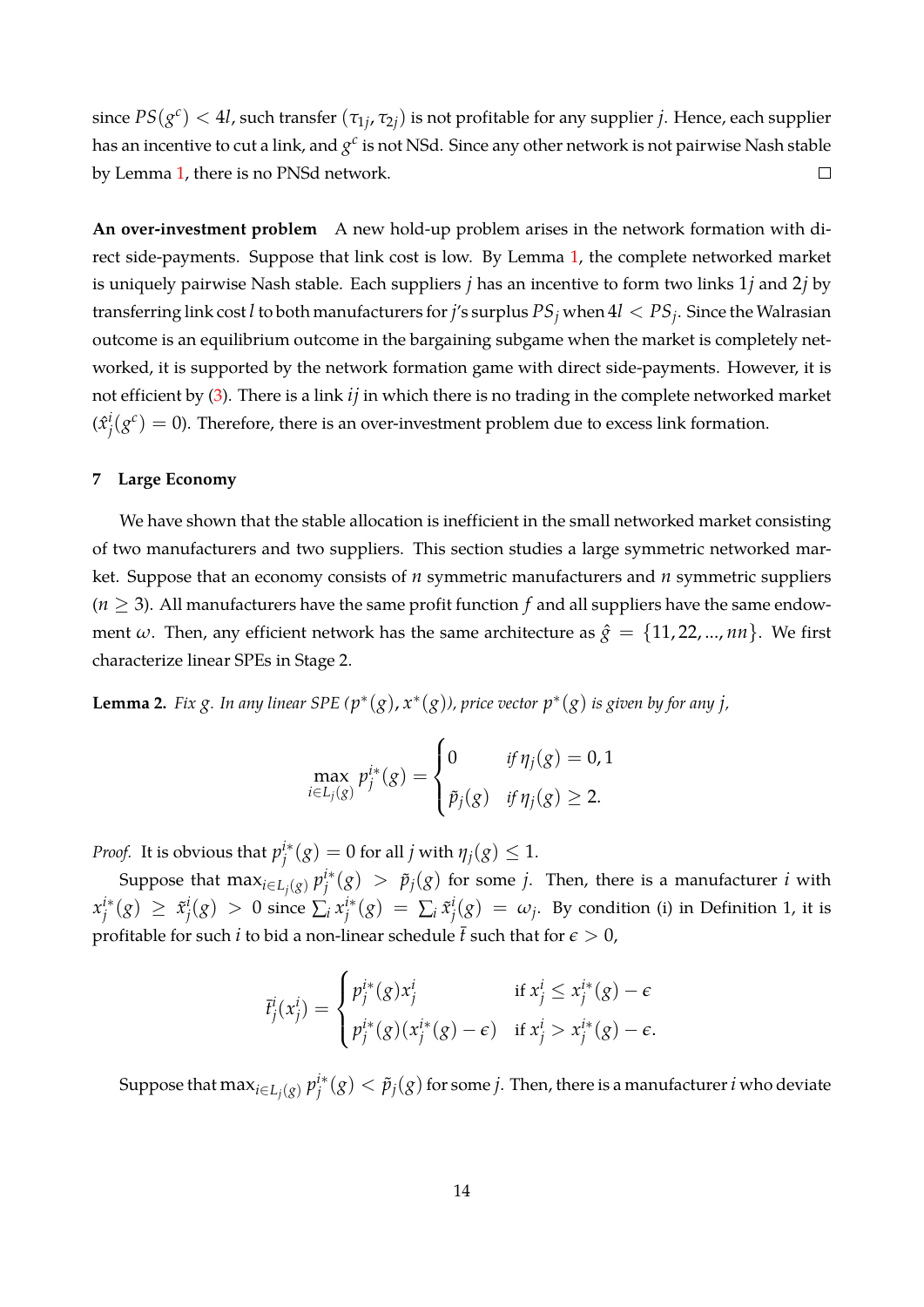$\text{since } PS(g^c) < 4l$ , such transfer  $(\tau_{1j}, \tau_{2j})$  is not profitable for any supplier *j*. Hence, each supplier has an incentive to cut a link, and  $g^c$  is not NSd. Since any other network is not pairwise Nash stable by Lemma [1,](#page-12-0) there is no PNSd network.  $\Box$ 

**An over-investment problem** A new hold-up problem arises in the network formation with direct side-payments. Suppose that link cost is low. By Lemma [1,](#page-12-0) the complete networked market is uniquely pairwise Nash stable. Each suppliers *j* has an incentive to form two links 1*j* and 2*j* by transferring link cost *l* to both manufacturers for *j*'s surplus *PS<sup>j</sup>* when 4*l < PS<sup>j</sup>* . Since the Walrasian outcome is an equilibrium outcome in the bargaining subgame when the market is completely networked, it is supported by the network formation game with direct side-payments. However, it is not efficient by [\(3\)](#page-10-0). There is a link *ij* in which there is no trading in the complete networked market  $(\hat{x}^i_i$  $j(\textbf{\textit{g}}^c)=0$ ). Therefore, there is an over-investment problem due to excess link formation.

#### **7 Large Economy**

We have shown that the stable allocation is inefficient in the small networked market consisting of two manufacturers and two suppliers. This section studies a large symmetric networked market. Suppose that an economy consists of *n* symmetric manufacturers and *n* symmetric suppliers  $(n \geq 3)$ . All manufacturers have the same profit function f and all suppliers have the same endowment  $\omega$ . Then, any efficient network has the same architecture as  $\hat{g} = \{11, 22, ..., nn\}$ . We first characterize linear SPEs in Stage 2.

**Lemma 2.** Fix  $g$ . In any linear SPE  $(p^*(g), x^*(g))$ , price vector  $p^*(g)$  is given by for any j,

$$
\max_{i\in L_j(g)} p_j^{i*}(g) = \begin{cases} 0 & \text{if } \eta_j(g) = 0, 1 \\ \tilde{p}_j(g) & \text{if } \eta_j(g) \ge 2. \end{cases}
$$

*Proof.* It is obvious that *p i∗*  $j^{i*}(g) = 0$  for all  $j$  with  $\eta_j(g) \leq 1$ .

Suppose that  $\max_{i \in L_j(g)} p_j^{i*}$  $\tilde{p}^{i*}(g)$   $>$   $\tilde{p}_j(g)$  for some *j*. Then, there is a manufacturer *i* with *x i∗*  $j^{i*}(g) \geq \tilde{x}_j^{i}$  $j^i(g) > 0$  since  $\sum_i x_i^{i*}$  $j^{i*}(g) = \sum_{i} \tilde{x}_{j}^{i}$  $\mu^i_j(g) = \omega_j$ . By condition (i) in Definition 1, it is profitable for such *i* to bid a non-linear schedule  $\bar{t}$  such that for  $\epsilon > 0$ ,

$$
\overline{t}^i_j(x^i_j) = \begin{cases} p^{i*}_j(g)x^i_j & \text{if } x^i_j \leq x^{i*}_j(g) - \epsilon \\ p^{i*}_j(g)(x^{i*}_j(g) - \epsilon) & \text{if } x^i_j > x^{i*}_j(g) - \epsilon. \end{cases}
$$

Suppose that  $\max_{i \in L_j(g)} p_j^{i*}$  $j^{i*}(g) < \tilde{p}_j(g)$  for some  $j.$  Then, there is a manufacturer  $i$  who deviate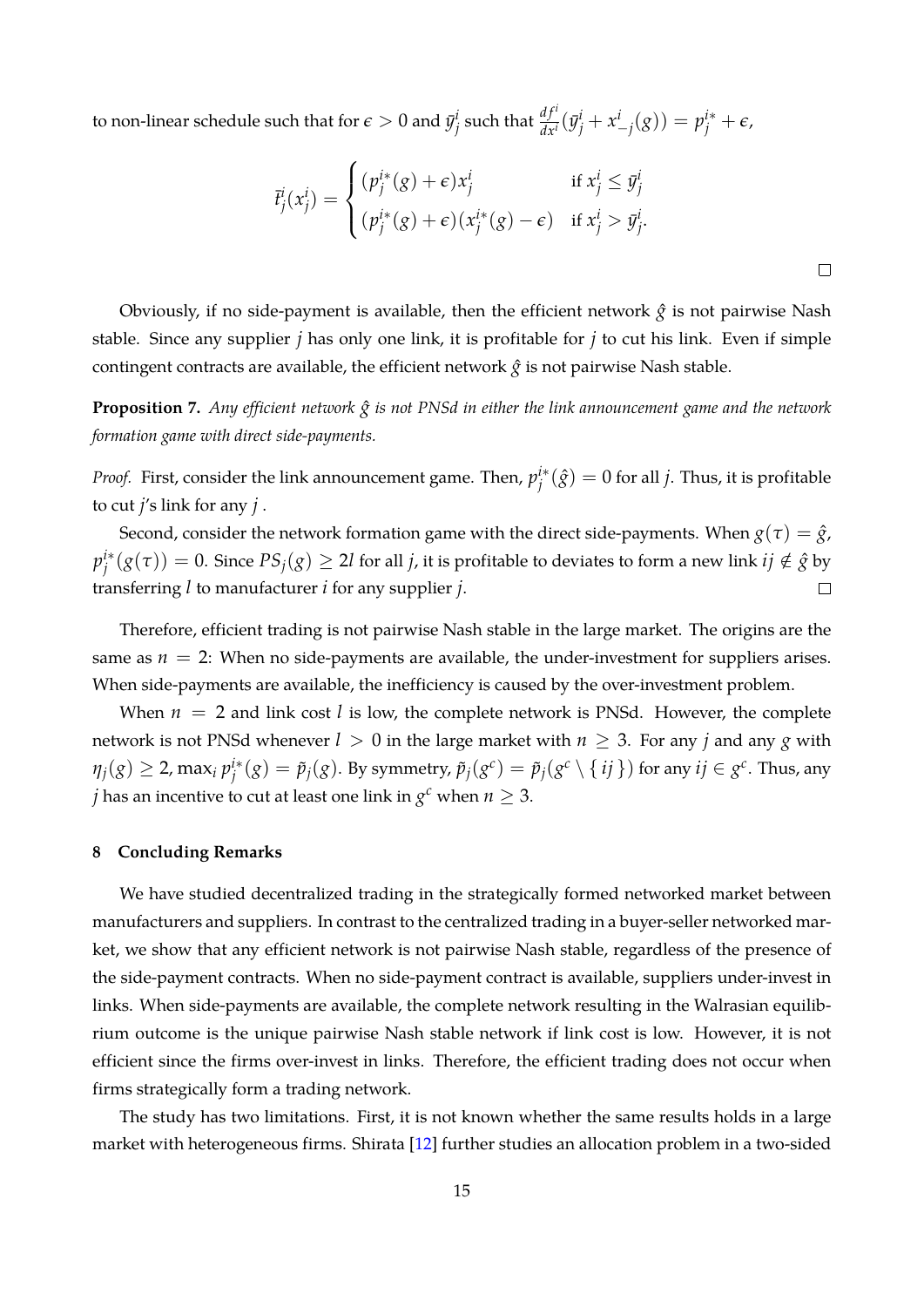<span id="page-15-0"></span>to non-linear schedule such that for  $\epsilon > 0$  and  $\bar{y}^i_j$  $j$ <sup>*j*</sup> such that  $\frac{df^{i}}{dx^{i}}(\bar{y}^{i}_{j} + x^{i}_{-j}(g)) = p^{i*}_{j} + \epsilon$ ,

$$
\bar{t}^i_j(x^i_j) = \begin{cases}\n(p^{i*}_j(g) + \epsilon)x^i_j & \text{if } x^i_j \leq \bar{y}^i_j \\
(p^{i*}_j(g) + \epsilon)(x^{i*}_j(g) - \epsilon) & \text{if } x^i_j > \bar{y}^i_j.\n\end{cases}
$$

Obviously, if no side-payment is available, then the efficient network  $\hat{g}$  is not pairwise Nash stable. Since any supplier *j* has only one link, it is profitable for *j* to cut his link. Even if simple contingent contracts are available, the efficient network  $\hat{g}$  is not pairwise Nash stable.

**Proposition 7.** *Any efficient network*  $\hat{g}$  *is not PNSd in either the link announcement game and the network formation game with direct side-payments.*

*Proof.* First, consider the link announcement game. Then, *p i∗*  $j^{i*}(\hat{g}) = 0$  for all *j*. Thus, it is profitable to cut *j*'s link for any *j* .

Second, consider the network formation game with the direct side-payments. When  $g(\tau) = \hat{g}$ , *p i∗*  $g^{i*}(g(\tau)) = 0.$  Since  $PS_j(g) \geq 2l$  for all *j,* it is profitable to deviates to form a new link  $ij \notin \hat{g}$  by transferring *l* to manufacturer *i* for any supplier *j*.  $\Box$ 

Therefore, efficient trading is not pairwise Nash stable in the large market. The origins are the same as  $n = 2$ : When no side-payments are available, the under-investment for suppliers arises. When side-payments are available, the inefficiency is caused by the over-investment problem.

When  $n = 2$  and link cost *l* is low, the complete network is PNSd. However, the complete network is not PNSd whenever  $l > 0$  in the large market with  $n \geq 3$ . For any *j* and any *g* with  $\eta_j(g) \geq 2$ , max<sub>*i*</sub>  $p_j^{i*}$  $\tilde{p}^{i*}_j(g)=\tilde{p}_j(g).$  By symmetry,  $\tilde{p}_j(g^c)=\tilde{p}_j(g^c\setminus\set{ij})$  for any  $ij\in g^c.$  Thus, any *j* has an incentive to cut at least one link in  $g^c$  when  $n \geq 3$ .

## **8 Concluding Remarks**

We have studied decentralized trading in the strategically formed networked market between manufacturers and suppliers. In contrast to the centralized trading in a buyer-seller networked market, we show that any efficient network is not pairwise Nash stable, regardless of the presence of the side-payment contracts. When no side-payment contract is available, suppliers under-invest in links. When side-payments are available, the complete network resulting in the Walrasian equilibrium outcome is the unique pairwise Nash stable network if link cost is low. However, it is not efficient since the firms over-invest in links. Therefore, the efficient trading does not occur when firms strategically form a trading network.

The study has two limitations. First, it is not known whether the same results holds in a large market with heterogeneous firms. Shirata [\[12\]](#page-16-12) further studies an allocation problem in a two-sided